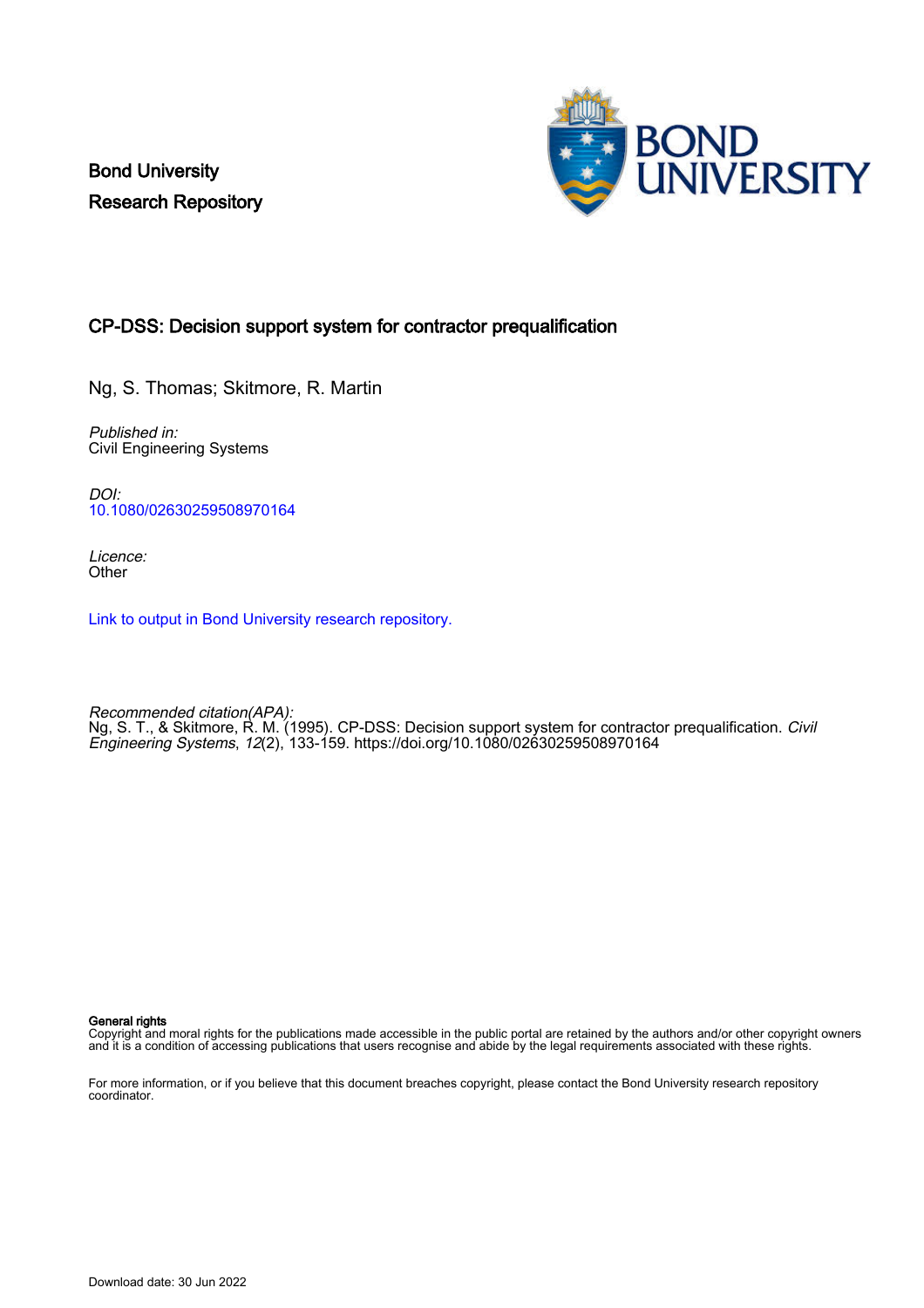Bond University Research Repository



# CP-DSS: Decision support system for contractor prequalification

Ng, S. Thomas; Skitmore, R. Martin

Published in: Civil Engineering Systems

DOI: [10.1080/02630259508970164](https://doi.org/10.1080/02630259508970164)

Licence: **Other** 

[Link to output in Bond University research repository.](https://research.bond.edu.au/en/publications/ca957e54-a034-4afc-982e-99ade99c1c9f)

Recommended citation(APA): Ng, S. T., & Skitmore, R. M. (1995). CP-DSS: Decision support system for contractor prequalification. *Civil* Engineering Systems, 12(2), 133-159.<https://doi.org/10.1080/02630259508970164>

General rights

Copyright and moral rights for the publications made accessible in the public portal are retained by the authors and/or other copyright owners and it is a condition of accessing publications that users recognise and abide by the legal requirements associated with these rights.

For more information, or if you believe that this document breaches copyright, please contact the Bond University research repository coordinator.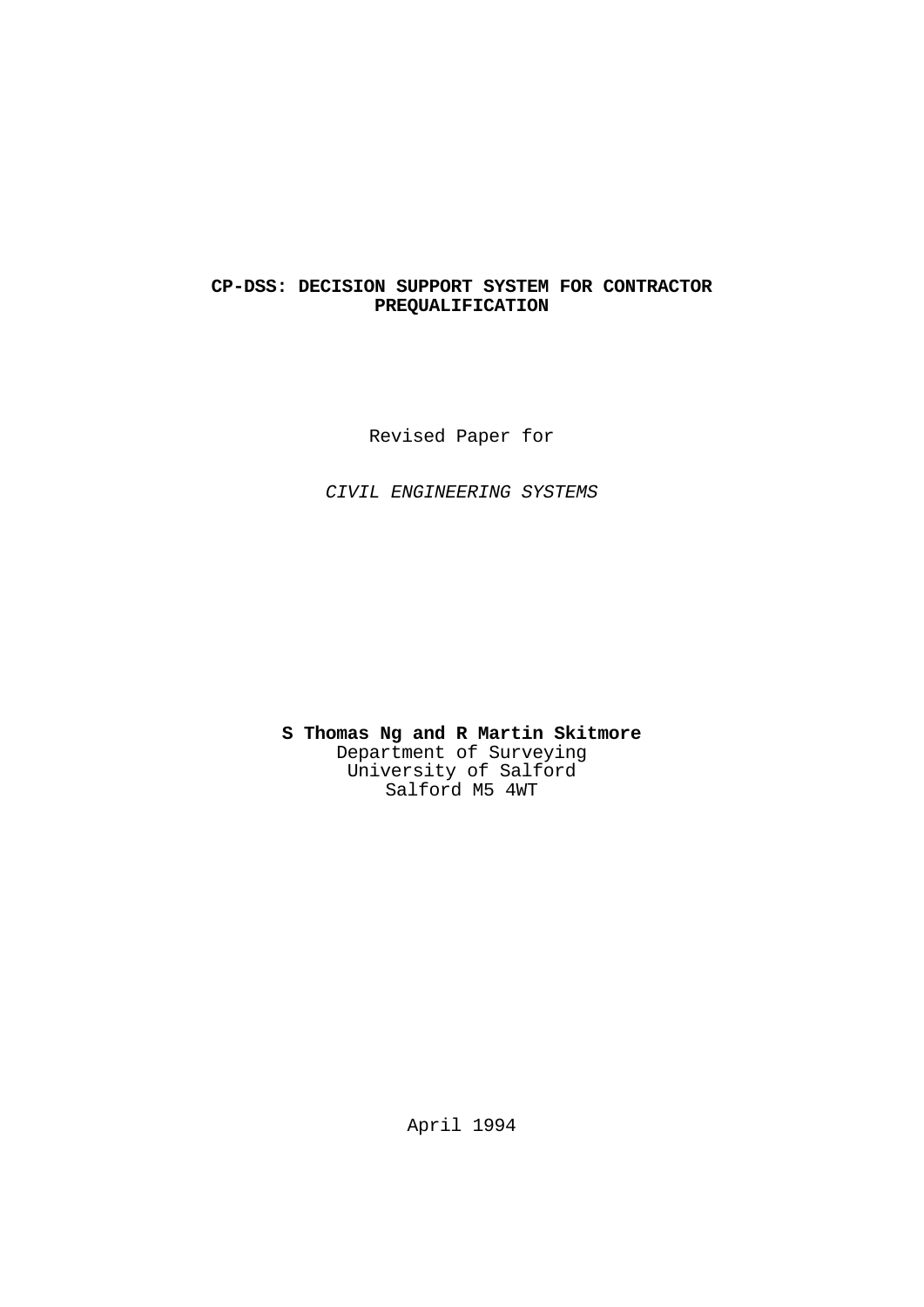# **CP-DSS: DECISION SUPPORT SYSTEM FOR CONTRACTOR PREQUALIFICATION**

Revised Paper for

 *CIVIL ENGINEERING SYSTEMS*

 **S Thomas Ng and R Martin Skitmore** Department of Surveying University of Salford Salford M5 4WT

April 1994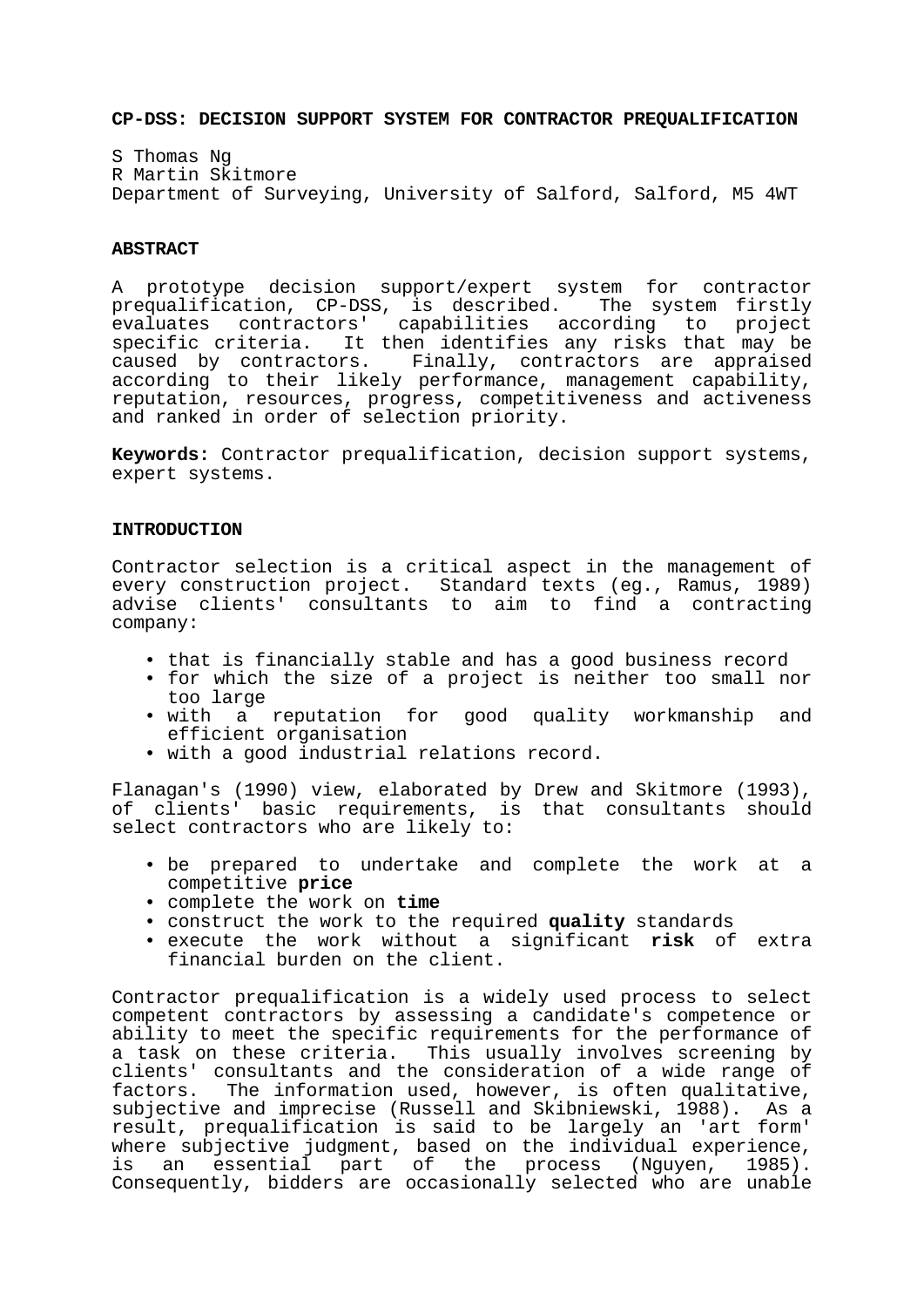#### **CP-DSS: DECISION SUPPORT SYSTEM FOR CONTRACTOR PREQUALIFICATION**

S Thomas Ng R Martin Skitmore Department of Surveying, University of Salford, Salford, M5 4WT

### **ABSTRACT**

A prototype decision support/expert system for contractor prequalification, CP-DSS, is described. The system firstly evaluates contractors' capabilities according to project specific criteria. It then identifies any risks that may be caused by contractors. Finally, contractors are appraised according to their likely performance, management capability, reputation, resources, progress, competitiveness and activeness and ranked in order of selection priority.

**Keywords:** Contractor prequalification, decision support systems, expert systems.

### **INTRODUCTION**

Contractor selection is a critical aspect in the management of every construction project. Standard texts (eg., Ramus, 1989) advise clients' consultants to aim to find a contracting company:

- that is financially stable and has a good business record
- for which the size of a project is neither too small nor
- too large<br>• with a reputation for good quality workmanship and efficient organisation
- with a good industrial relations record.

Flanagan's (1990) view, elaborated by Drew and Skitmore (1993), of clients' basic requirements, is that consultants should select contractors who are likely to:

- be prepared to undertake and complete the work at a competitive **price**
- complete the work on **time**
- construct the work to the required **quality** standards
- execute the work without a significant **risk** of extra financial burden on the client.

Contractor prequalification is a widely used process to select competent contractors by assessing a candidate's competence or ability to meet the specific requirements for the performance of a task on these criteria. This usually involves screening by clients' consultants and the consideration of a wide range of factors. The information used, however, is often qualitative, subjective and imprecise (Russell and Skibniewski, 1988). As a result, prequalification is said to be largely an 'art form' where subjective judgment, based on the individual experience, is an essential part of the process (Nguyen, 1985). Consequently, bidders are occasionally selected who are unable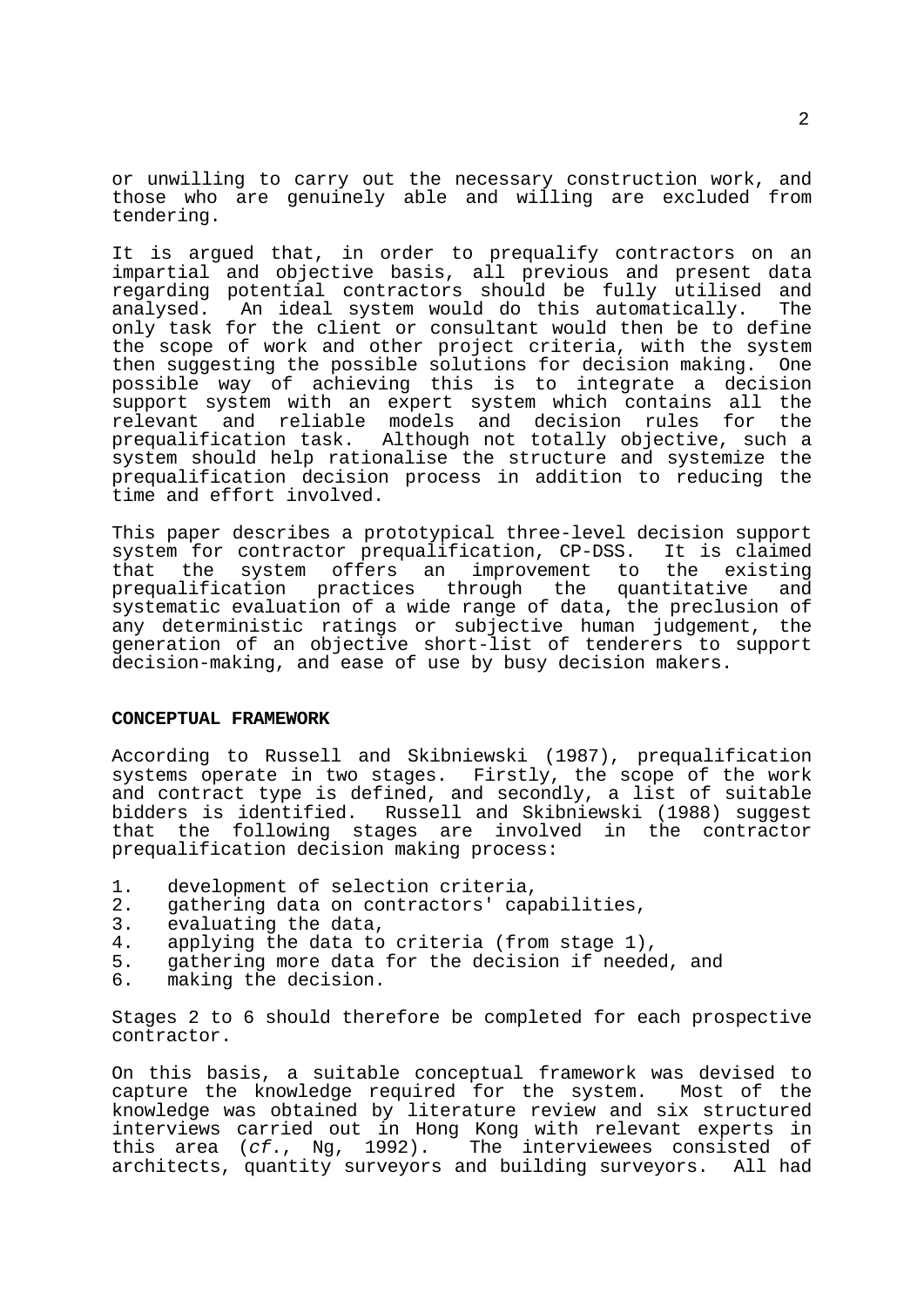or unwilling to carry out the necessary construction work, and those who are genuinely able and willing are excluded from tendering.

It is argued that, in order to prequalify contractors on an impartial and objective basis, all previous and present data regarding potential contractors should be fully utilised and analysed. An ideal system would do this automatically. The only task for the client or consultant would then be to define the scope of work and other project criteria, with the system then suggesting the possible solutions for decision making. One possible way of achieving this is to integrate a decision support system with an expert system which contains all the relevant and reliable models and decision rules for the Although not totally objective, such a system should help rationalise the structure and systemize the prequalification decision process in addition to reducing the time and effort involved.

This paper describes a prototypical three-level decision support system for contractor prequalification, CP-DSS. It is claimed<br>that the system offers an improvement to the existing the system offers an improvement to the existing<br>alification practices through the quantitative and prequalification practices through the quantitative and systematic evaluation of a wide range of data, the preclusion of any deterministic ratings or subjective human judgement, the generation of an objective short-list of tenderers to support decision-making, and ease of use by busy decision makers.

### **CONCEPTUAL FRAMEWORK**

According to Russell and Skibniewski (1987), prequalification systems operate in two stages. Firstly, the scope of the work and contract type is defined, and secondly, a list of suitable bidders is identified. Russell and Skibniewski (1988) suggest that the following stages are involved in the contractor prequalification decision making process:

- 1. development of selection criteria,<br>2. gathering data on contractors' cap
- 2. gathering data on contractors' capabilities,<br>3. evaluating the data.
- 3. evaluating the data,<br>4. applying the data to
- 4. applying the data to criteria (from stage 1),<br>5. gathering more data for the decision if neede
- 5. gathering more data for the decision if needed, and
- 6. making the decision.

Stages 2 to 6 should therefore be completed for each prospective contractor.

On this basis, a suitable conceptual framework was devised to capture the knowledge required for the system. Most of the knowledge was obtained by literature review and six structured interviews carried out in Hong Kong with relevant experts in this area (*cf*., Ng, 1992). The interviewees consisted of architects, quantity surveyors and building surveyors. All had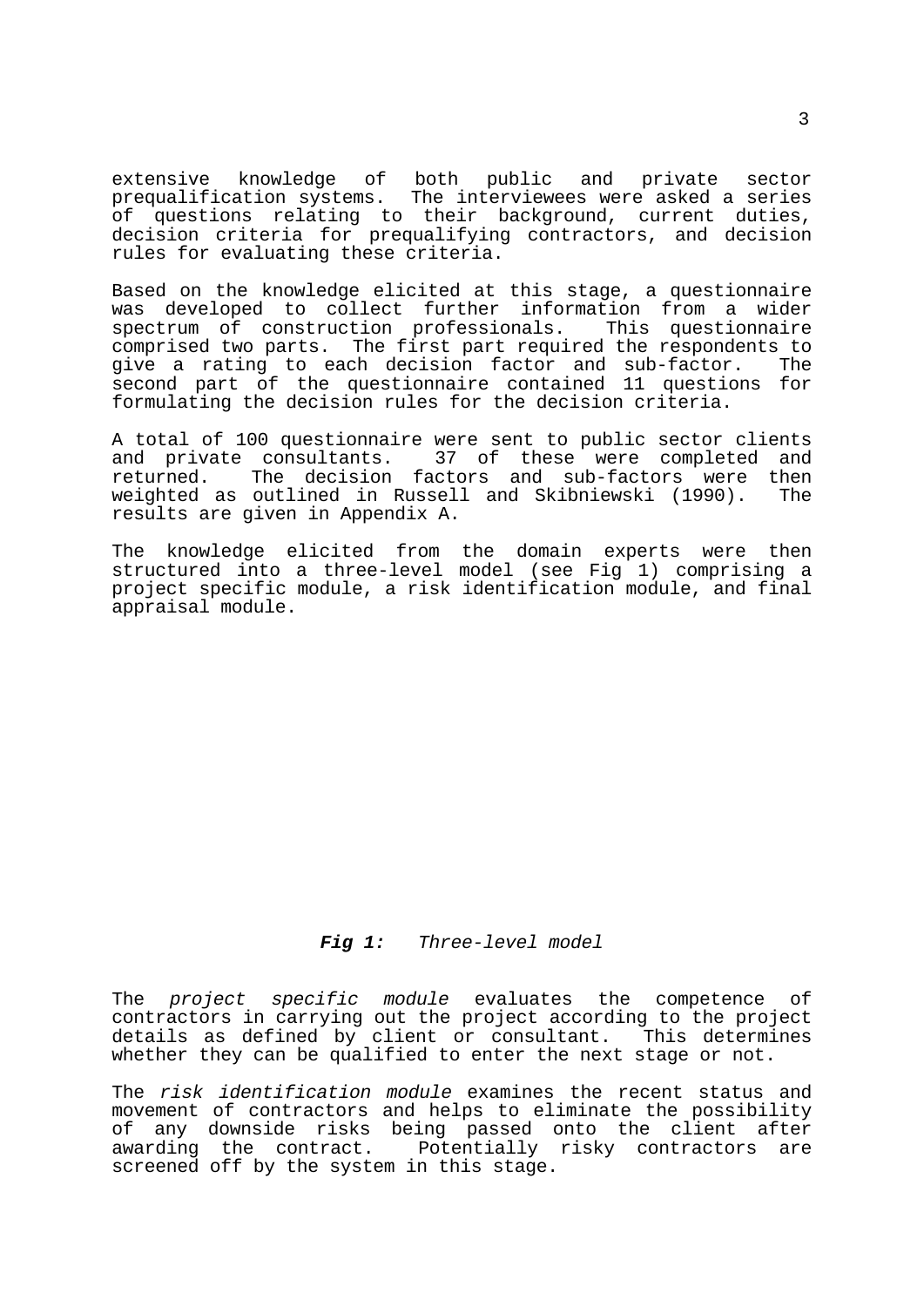extensive knowledge of both public and private sector prequalification systems. The interviewees were asked a series of questions relating to their background, current duties, decision criteria for prequalifying contractors, and decision rules for evaluating these criteria.

Based on the knowledge elicited at this stage, a questionnaire was developed to collect further information from a wider spectrum of construction professionals. This questionnaire comprised two parts. The first part required the respondents to give a rating to each decision factor and sub-factor. The second part of the questionnaire contained 11 questions for formulating the decision rules for the decision criteria.

A total of 100 questionnaire were sent to public sector clients and private consultants. 37 of these were completed and returned. The decision factors and sub-factors were then weighted as outlined in Russell and Skibniewski (1990). The results are given in Appendix A.

The knowledge elicited from the domain experts were then structured into a three-level model (see Fig 1) comprising a project specific module, a risk identification module, and final appraisal module.

 *Fig 1: Three-level model*

The *project specific module* evaluates the competence of contractors in carrying out the project according to the project details as defined by client or consultant. whether they can be qualified to enter the next stage or not.

The *risk identification module* examines the recent status and movement of contractors and helps to eliminate the possibility of any downside risks being passed onto the client after awarding the contract. Potentially risky contractors are screened off by the system in this stage.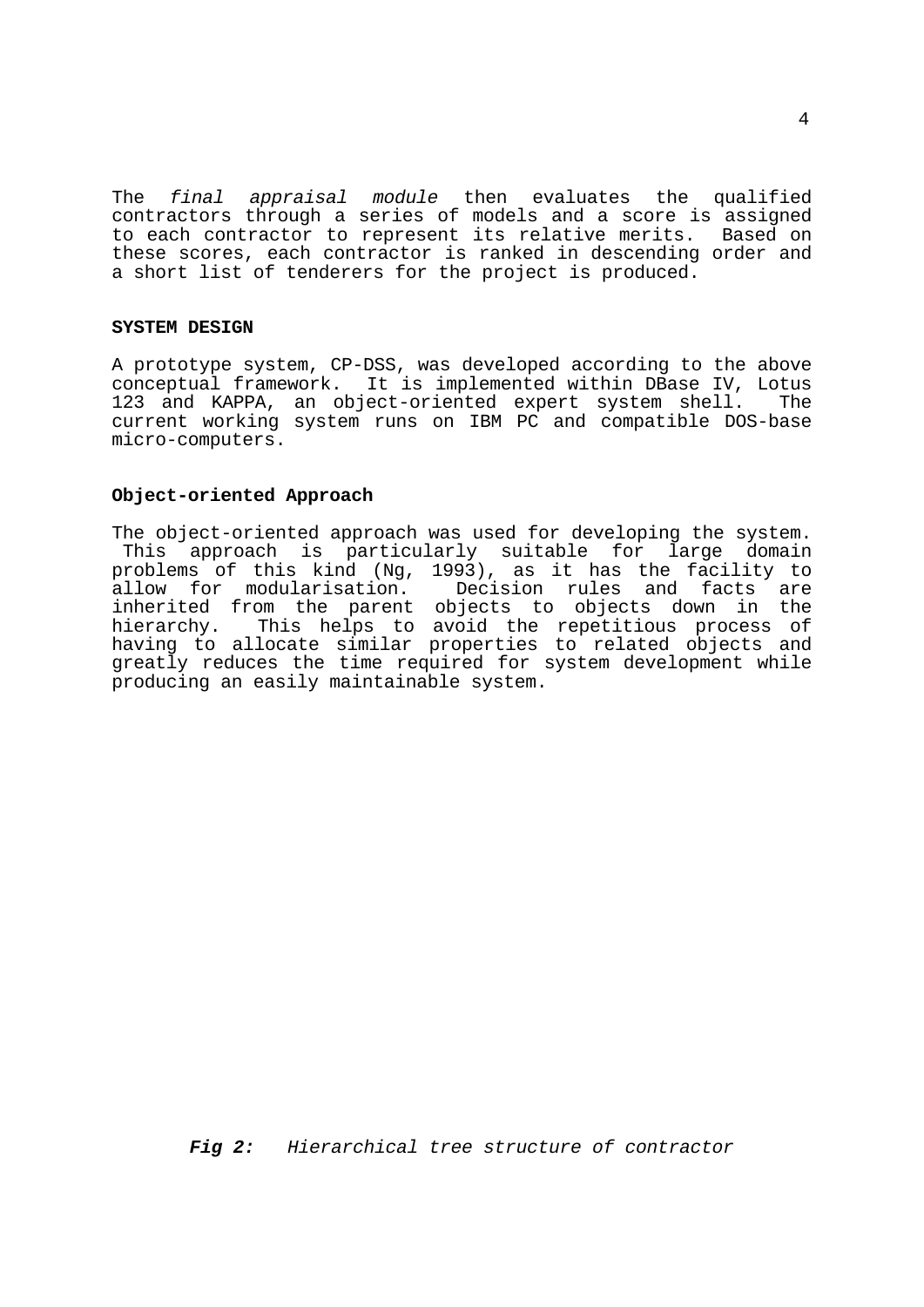The *final appraisal module* then evaluates the qualified contractors through a series of models and a score is assigned to each contractor to represent its relative merits. Based on these scores, each contractor is ranked in descending order and a short list of tenderers for the project is produced.

### **SYSTEM DESIGN**

A prototype system, CP-DSS, was developed according to the above conceptual framework. It is implemented within DBase IV, Lotus 123 and KAPPA, an object-oriented expert system shell. current working system runs on IBM PC and compatible DOS-base micro-computers.

# **Object-oriented Approach**

The object-oriented approach was used for developing the system. This approach is particularly suitable for large domain problems of this kind (Ng, 1993), as it has the facility to Decision rules and facts are inherited from the parent objects to objects down in the hierarchy. This helps to avoid the repetitious process of having to allocate similar properties to related objects and greatly reduces the time required for system development while producing an easily maintainable system.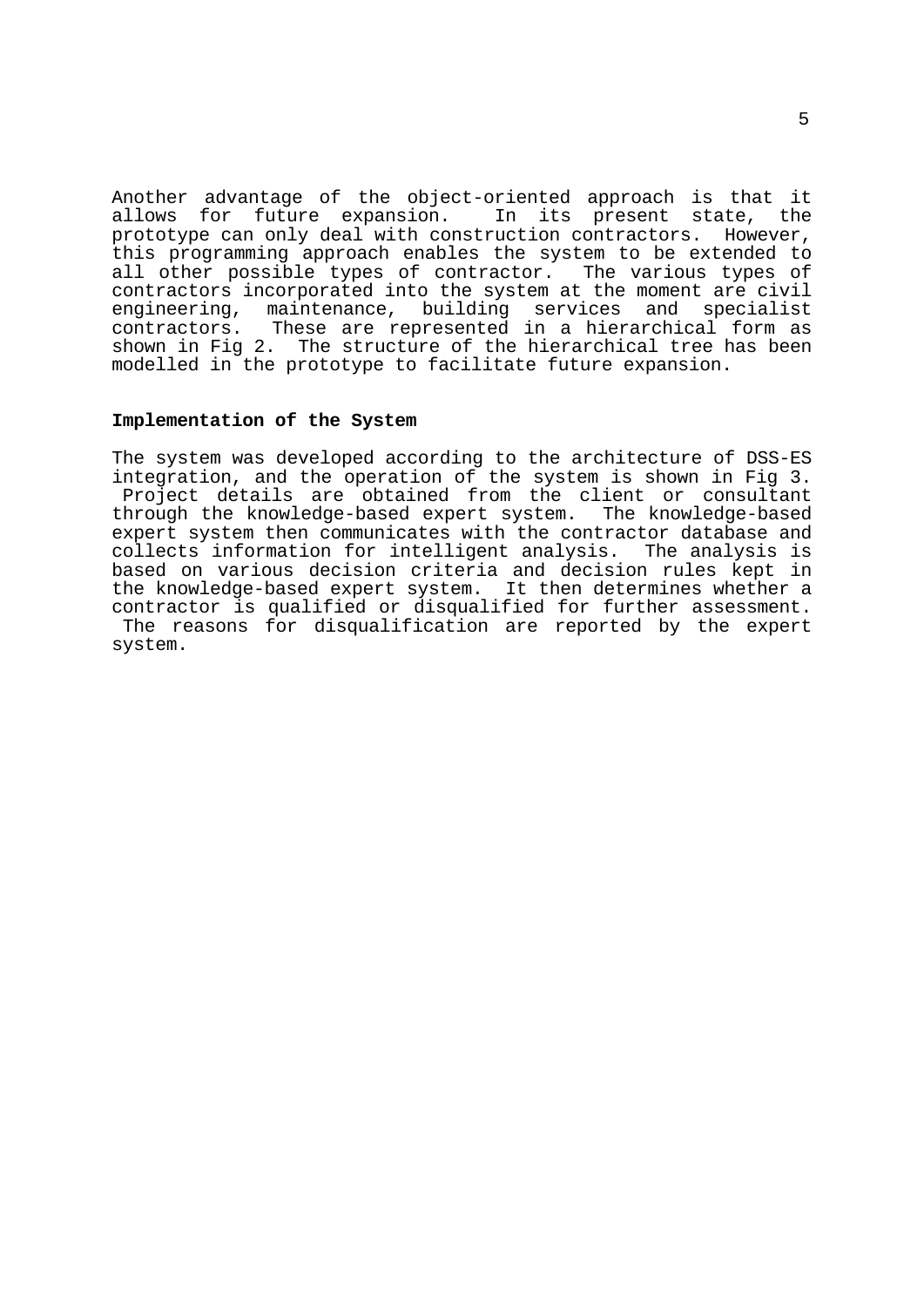Another advantage of the object-oriented approach is that it allows for future expansion. In its present state, the prototype can only deal with construction contractors. However, this programming approach enables the system to be extended to all other possible types of contractor. The various types of contractors incorporated into the system at the moment are civil engineering, maintenance, building services and specialist contractors. These are represented in a hierarchical form as shown in Fig 2. The structure of the hierarchical tree has been modelled in the prototype to facilitate future expansion.

#### **Implementation of the System**

The system was developed according to the architecture of DSS-ES integration, and the operation of the system is shown in Fig 3. Project details are obtained from the client or consultant through the knowledge-based expert system. The knowledge-based expert system then communicates with the contractor database and collects information for intelligent analysis. The analysis is based on various decision criteria and decision rules kept in the knowledge-based expert system. It then determines whether a contractor is qualified or disqualified for further assessment. The reasons for disqualification are reported by the expert system.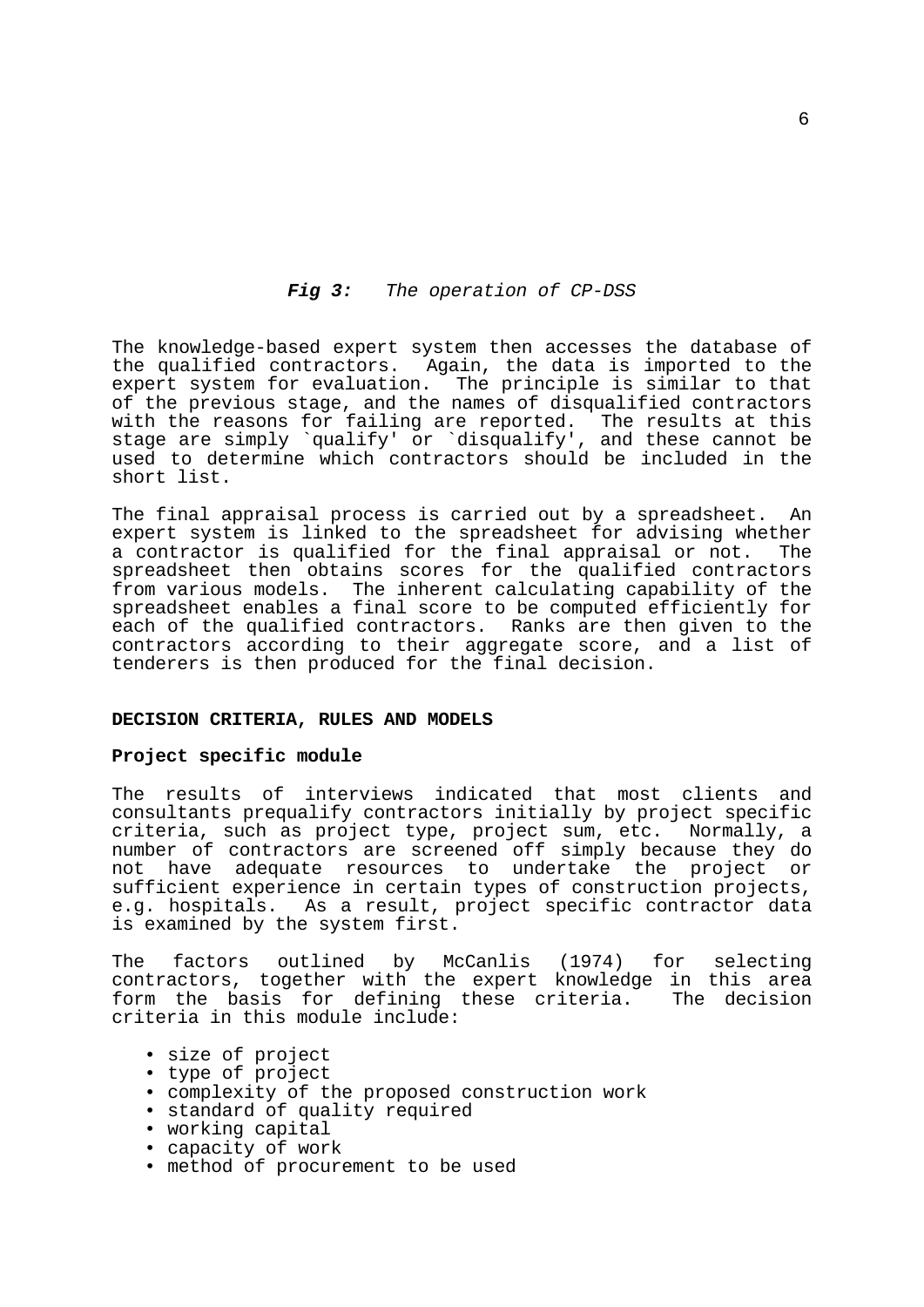# *Fig 3: The operation of CP-DSS*

The knowledge-based expert system then accesses the database of the qualified contractors. Again, the data is imported to the expert system for evaluation. The principle is similar to that of the previous stage, and the names of disqualified contractors with the reasons for failing are reported. The results at this stage are simply `qualify' or `disqualify', and these cannot be used to determine which contractors should be included in the short list.

The final appraisal process is carried out by a spreadsheet. An expert system is linked to the spreadsheet for advising whether a contractor is qualified for the final appraisal or not. The spreadsheet then obtains scores for the qualified contractors from various models. The inherent calculating capability of the spreadsheet enables a final score to be computed efficiently for each of the qualified contractors. Ranks are then given to the contractors according to their aggregate score, and a list of tenderers is then produced for the final decision.

# **DECISION CRITERIA, RULES AND MODELS**

#### **Project specific module**

The results of interviews indicated that most clients and consultants prequalify contractors initially by project specific criteria, such as project type, project sum, etc. Normally, a number of contractors are screened off simply because they do not have adequate resources to undertake the project or sufficient experience in certain types of construction projects, e.g. hospitals. As a result, project specific contractor data is examined by the system first.

The factors outlined by McCanlis (1974) for selecting contractors, together with the expert knowledge in this area form the basis for defining these criteria. The decision criteria in this module include:

- size of project
- type of project
- complexity of the proposed construction work
- standard of quality required
- working capital
- capacity of work
- method of procurement to be used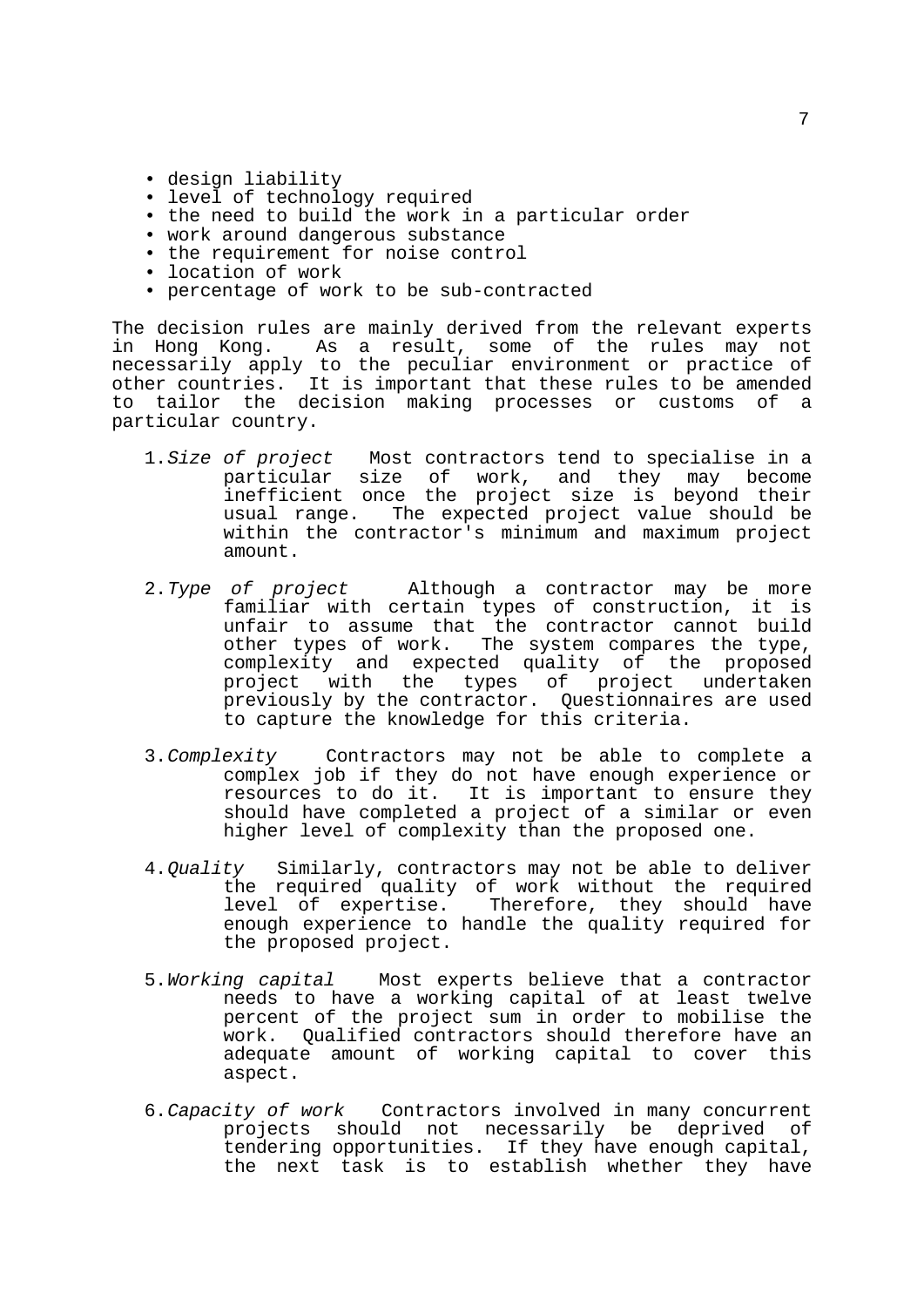- design liability
- level of technology required
- the need to build the work in a particular order
- work around dangerous substance
- the requirement for noise control
- location of work
- percentage of work to be sub-contracted

The decision rules are mainly derived from the relevant experts in Hong Kong. As a result, some of the rules may not necessarily apply to the peculiar environment or practice of other countries. It is important that these rules to be amended to tailor the decision making processes or customs of a particular country.

- 1.*Size of project* Most contractors tend to specialise in a particular size of work, and they may become inefficient once the project size is beyond their usual range. The expected project value should be within the contractor's minimum and maximum project amount.
- 2.*Type of project* Although a contractor may be more familiar with certain types of construction, it is unfair to assume that the contractor cannot build other types of work. The system compares the type, complexity and expected quality of the proposed project with the types of project undertaken previously by the contractor. Questionnaires are used to capture the knowledge for this criteria.
- 3.*Complexity* Contractors may not be able to complete a complex job if they do not have enough experience or resources to do it. It is important to ensure they should have completed a project of a similar or even higher level of complexity than the proposed one.
- 4.*Quality* Similarly, contractors may not be able to deliver the required quality of work without the required level of expertise. Therefore, they should have enough experience to handle the quality required for the proposed project.
- 5.*Working capital* Most experts believe that a contractor needs to have a working capital of at least twelve percent of the project sum in order to mobilise the work. Qualified contractors should therefore have an adequate amount of working capital to cover this aspect.
- 6.*Capacity of work* Contractors involved in many concurrent projects should not necessarily be deprived of tendering opportunities. If they have enough capital, the next task is to establish whether they have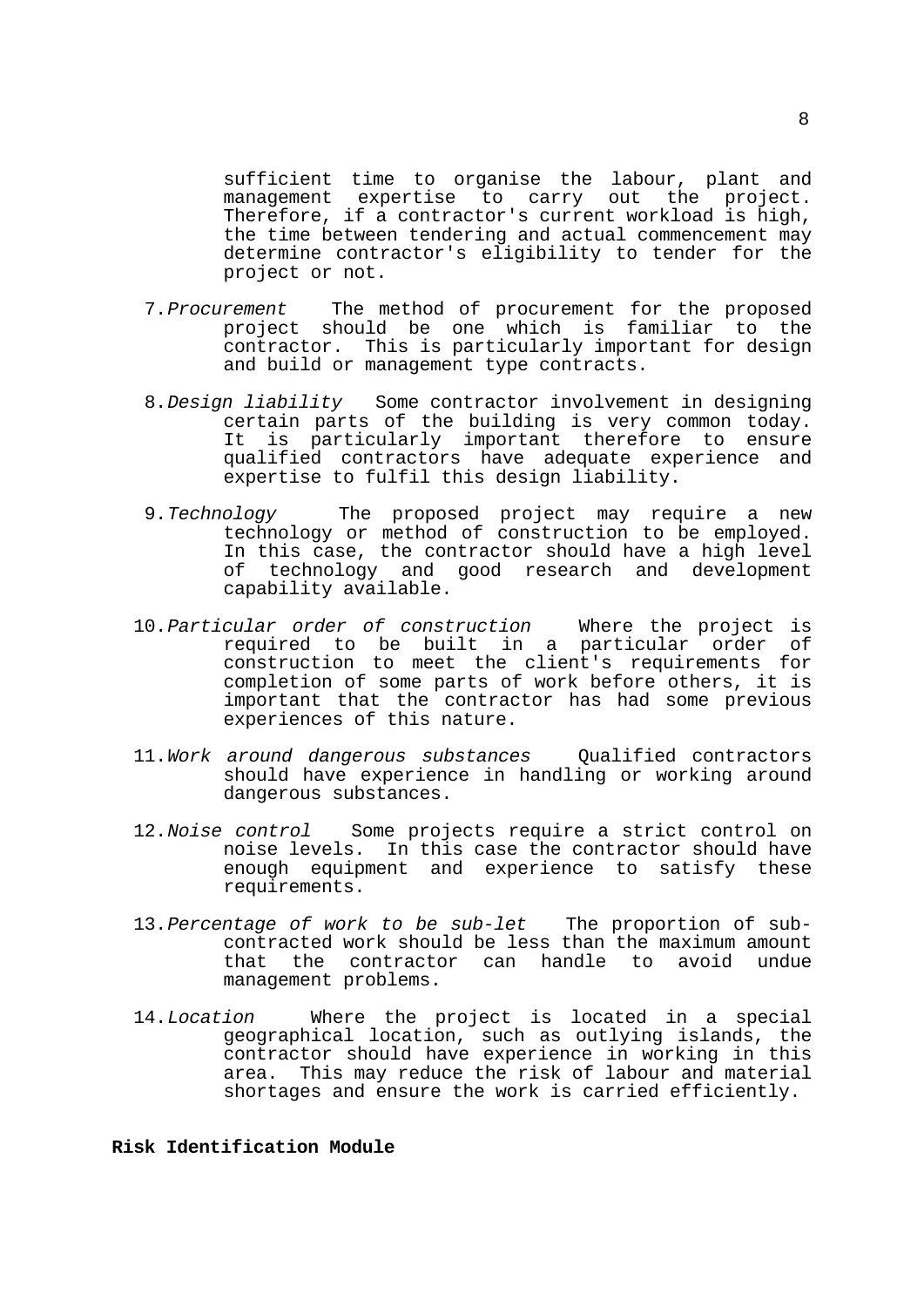sufficient time to organise the labour, plant and management expertise to carry out the project. Therefore, if a contractor's current workload is high, the time between tendering and actual commencement may determine contractor's eligibility to tender for the project or not.

- 7.*Procurement* The method of procurement for the proposed project should be one which is familiar to the contractor. This is particularly important for design and build or management type contracts.
- 8.*Design liability* Some contractor involvement in designing certain parts of the building is very common today. It is particularly important therefore to ensure qualified contractors have adequate experience and expertise to fulfil this design liability.
- 9.*Technology* The proposed project may require a new technology or method of construction to be employed. In this case, the contractor should have a high level of technology and good research and development capability available.
- 10.*Particular order of construction* Where the project is required to be built in a particular order of construction to meet the client's requirements for completion of some parts of work before others, it is important that the contractor has had some previous experiences of this nature.
	- 11.*Work around dangerous substances* Qualified contractors should have experience in handling or working around dangerous substances.
	- 12.*Noise control* Some projects require a strict control on noise levels. In this case the contractor should have enough equipment and experience to satisfy these requirements.
	- 13.*Percentage of work to be sub-let* The proportion of subcontracted work should be less than the maximum amount that the contractor can handle to avoid undue management problems.
	- 14.*Location* Where the project is located in a special geographical location, such as outlying islands, the contractor should have experience in working in this area. This may reduce the risk of labour and material shortages and ensure the work is carried efficiently.

# **Risk Identification Module**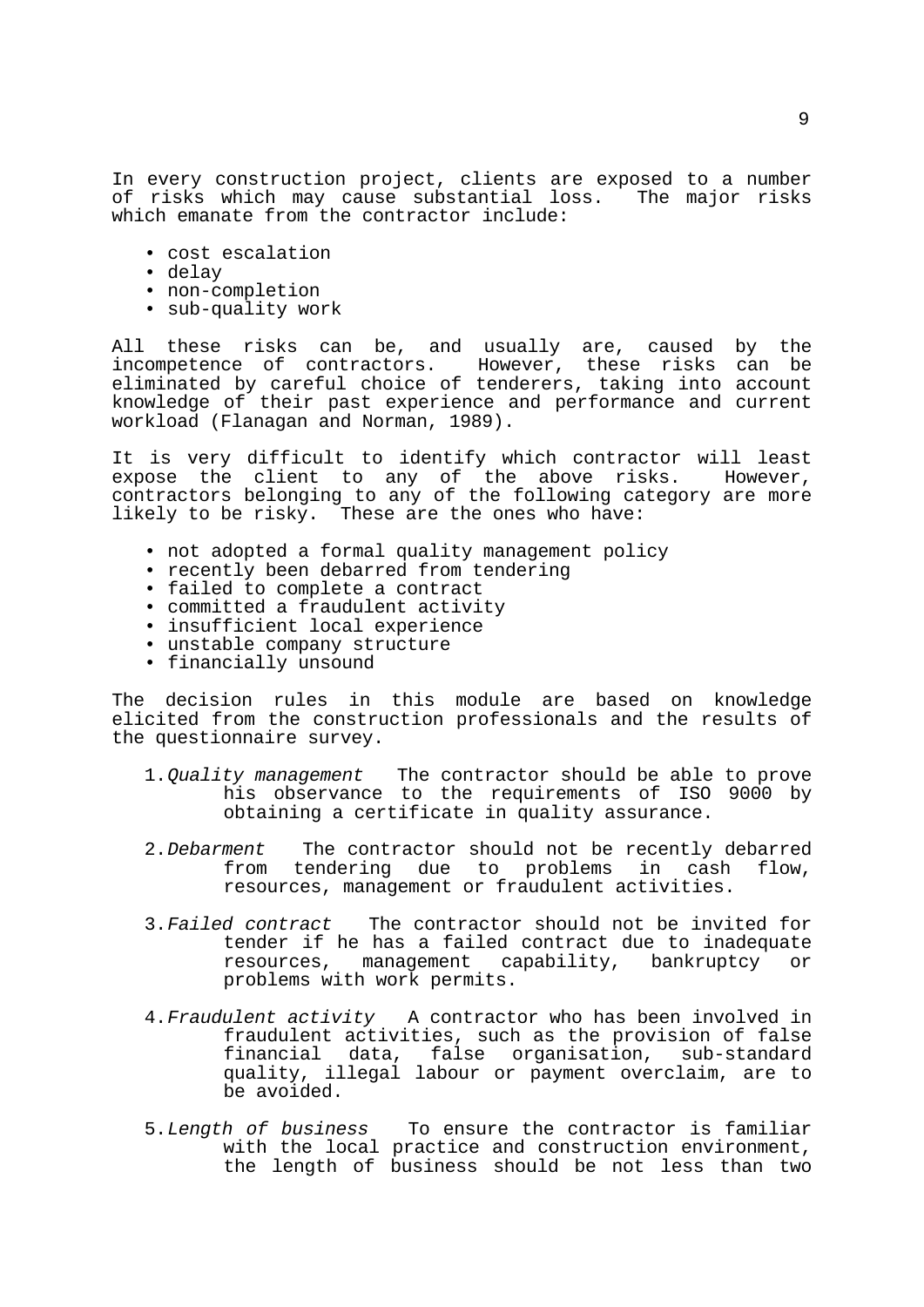In every construction project, clients are exposed to a number of risks which may cause substantial loss. The major risks which emanate from the contractor include:

- cost escalation
- delay
- non-completion
- sub-quality work

All these risks can be, and usually are, caused by the incompetence of contractors. However, these risks can be eliminated by careful choice of tenderers, taking into account knowledge of their past experience and performance and current workload (Flanagan and Norman, 1989).

It is very difficult to identify which contractor will least expose the client to any of the above risks. However, contractors belonging to any of the following category are more likely to be risky. These are the ones who have:

- not adopted a formal quality management policy
- recently been debarred from tendering
- failed to complete a contract
- committed a fraudulent activity
- insufficient local experience
- unstable company structure
- financially unsound

The decision rules in this module are based on knowledge elicited from the construction professionals and the results of the questionnaire survey.

- 1.*Quality management* The contractor should be able to prove his observance to the requirements of ISO 9000 by obtaining a certificate in quality assurance.
- 2.*Debarment* The contractor should not be recently debarred from tendering due to problems in cash flow, resources, management or fraudulent activities.
- 3.*Failed contract* The contractor should not be invited for tender if he has a failed contract due to inadequate resources, management capability, bankruptcy or problems with work permits.
- 4.*Fraudulent activity* A contractor who has been involved in fraudulent activities, such as the provision of false financial data, false organisation, sub-standard quality, illegal labour or payment overclaim, are to be avoided.
- 5.*Length of business* To ensure the contractor is familiar with the local practice and construction environment, the length of business should be not less than two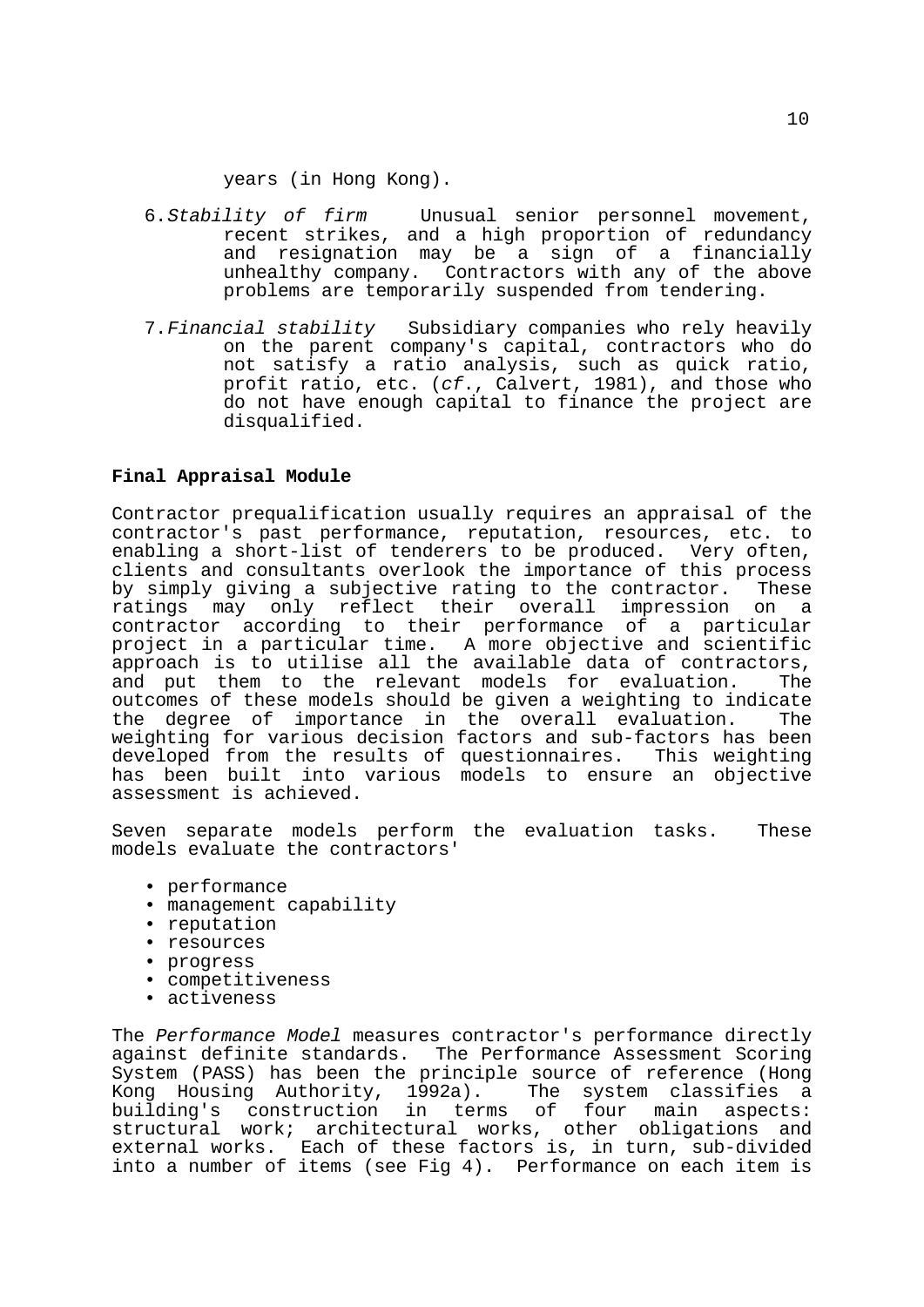years (in Hong Kong).

- 6.*Stability of firm* Unusual senior personnel movement, recent strikes, and a high proportion of redundancy and resignation may be a sign of a financially unhealthy company. Contractors with any of the above problems are temporarily suspended from tendering.
- 7.*Financial stability* Subsidiary companies who rely heavily on the parent company's capital, contractors who do not satisfy a ratio analysis, such as quick ratio, profit ratio, etc. (*cf*., Calvert, 1981), and those who do not have enough capital to finance the project are disqualified.

# **Final Appraisal Module**

Contractor prequalification usually requires an appraisal of the contractor's past performance, reputation, resources, etc. to enabling a short-list of tenderers to be produced. Very often, clients and consultants overlook the importance of this process by simply giving a subjective rating to the contractor. These ratings may only reflect their overall impression on a contractor according to their performance of a particular project in a particular time. A more objective and scientific approach is to utilise all the available data of contractors, and put them to the relevant models for evaluation. The outcomes of these models should be given a weighting to indicate the degree of importance in the overall evaluation. The weighting for various decision factors and sub-factors has been developed from the results of questionnaires. This weighting has been built into various models to ensure an objective assessment is achieved.

Seven separate models perform the evaluation tasks. These models evaluate the contractors'

- performance
- management capability
- reputation
- resources
- progress
- competitiveness
- activeness

The *Performance Model* measures contractor's performance directly against definite standards. The Performance Assessment Scoring System (PASS) has been the principle source of reference (Hong Kong Housing Authority, 1992a). The system classifies a building's construction in terms of four main structural work; architectural works, other obligations and external works. Each of these factors is, in turn, sub-divided into a number of items (see Fig 4). Performance on each item is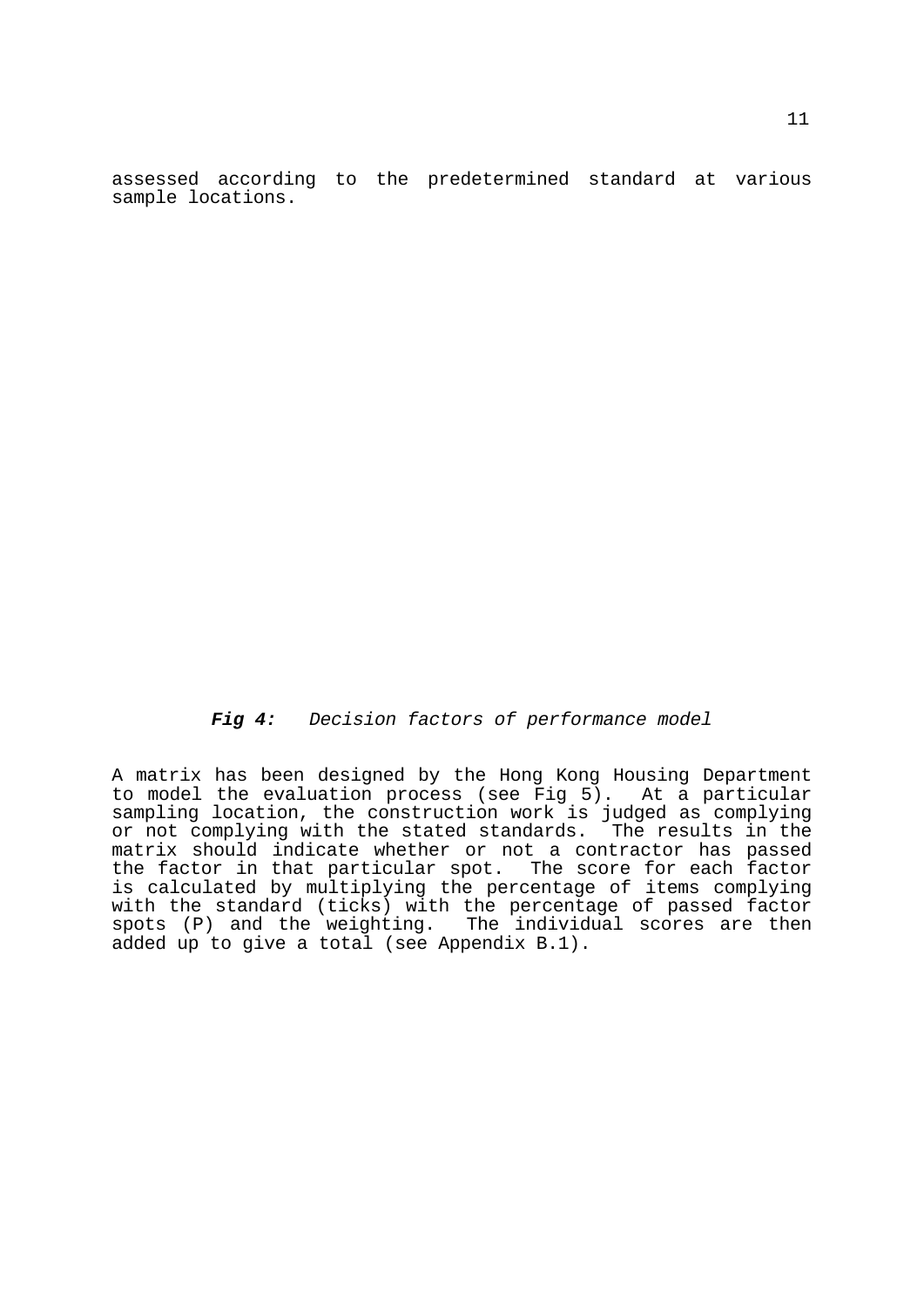assessed according to the predetermined standard at various sample locations.

 *Fig 4: Decision factors of performance model*

A matrix has been designed by the Hong Kong Housing Department to model the evaluation process (see Fig 5). At a particular sampling location, the construction work is judged as complying or not complying with the stated standards. The results in the matrix should indicate whether or not a contractor has passed the factor in that particular spot. The score for each factor is calculated by multiplying the percentage of items complying with the standard (ticks) with the percentage of passed factor spots (P) and the weighting. The individual scores are then added up to give a total (see Appendix B.1).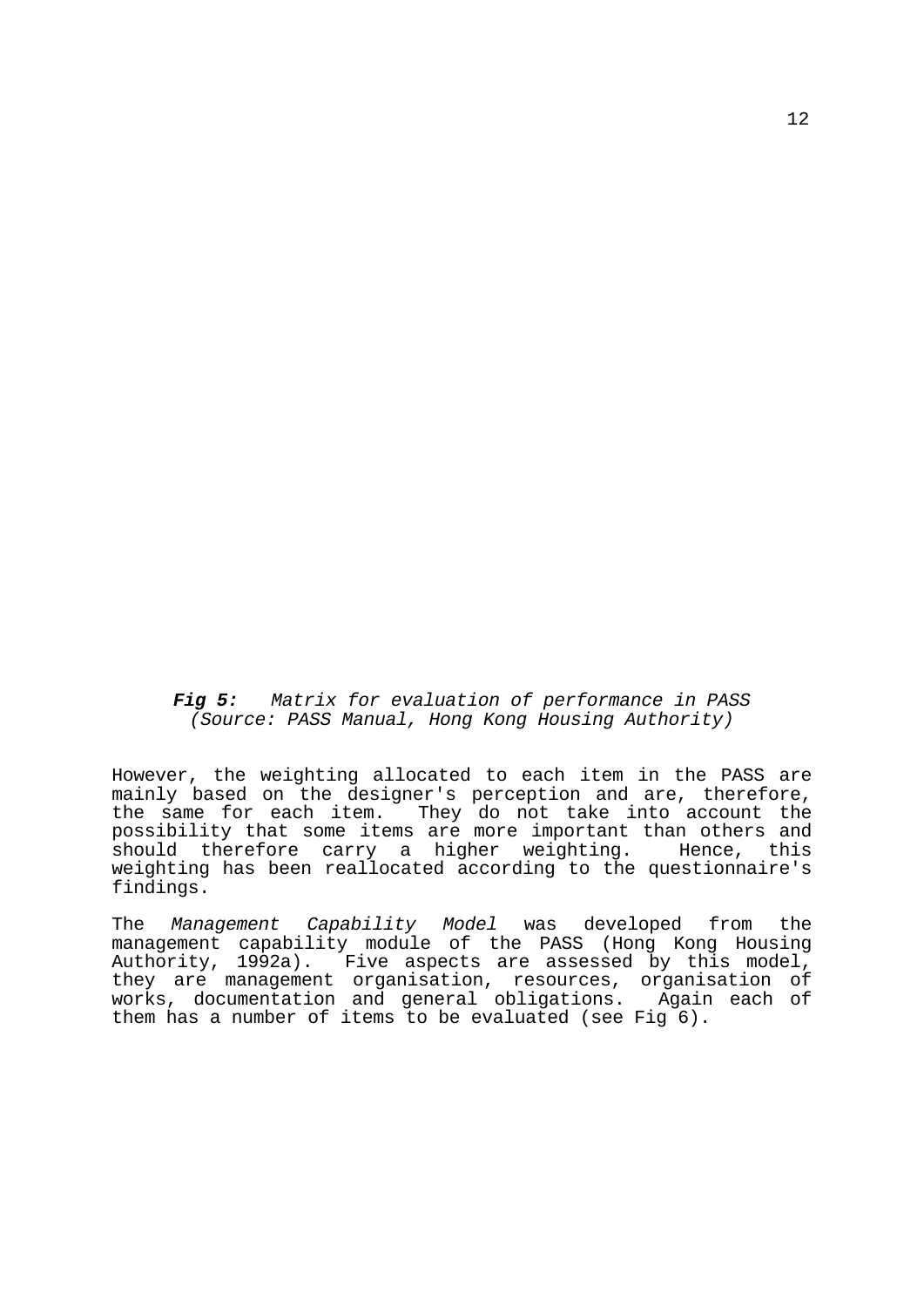*Fig 5: Matrix for evaluation of performance in PASS (Source: PASS Manual, Hong Kong Housing Authority)*

However, the weighting allocated to each item in the PASS are mainly based on the designer's perception and are, therefore, the same for each item. They do not take into account the possibility that some items are more important than others and should therefore carry a higher weighting. Hence, this weighting has been reallocated according to the questionnaire's findings.

The *Management Capability Model* was developed from the management capability module of the PASS (Hong Kong Housing Authority, 1992a). Five aspects are assessed by this model, they are management organisation, resources, organisation of works, documentation and general obligations. Again each of them has a number of items to be evaluated (see Fig 6).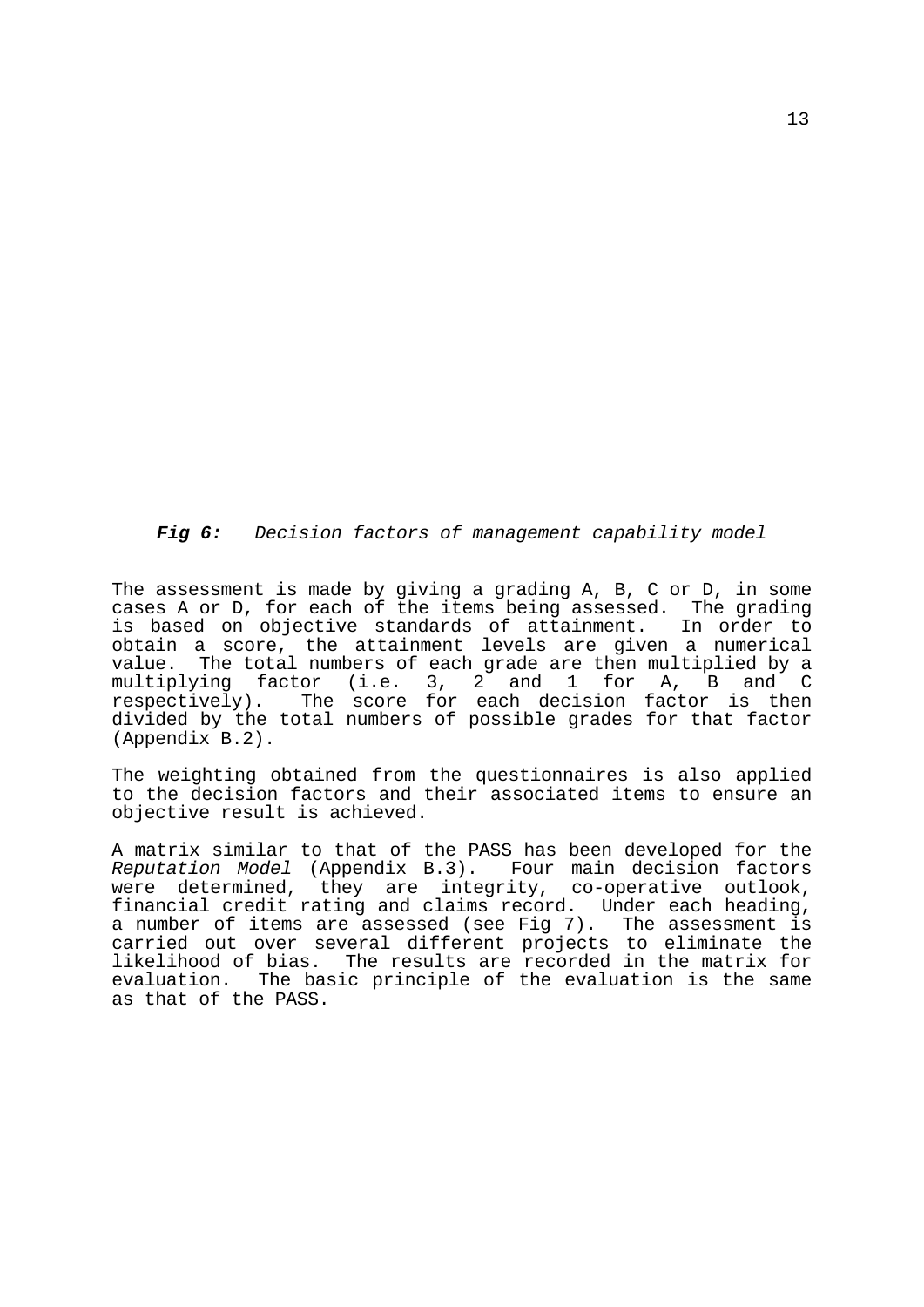*Fig 6: Decision factors of management capability model*

The assessment is made by giving a grading A, B, C or D, in some cases A or D, for each of the items being assessed. The grading is based on objective standards of attainment. In order to obtain a score, the attainment levels are given a numerical value. The total numbers of each grade are then multiplied by a multiplying factor (i.e. 3, 2 and 1 for A, B and C respectively). The score for each decision factor is then divided by the total numbers of possible grades for that factor (Appendix B.2).

The weighting obtained from the questionnaires is also applied to the decision factors and their associated items to ensure an objective result is achieved.

A matrix similar to that of the PASS has been developed for the *Reputation Model* (Appendix B.3). Four main decision factors were determined, they are integrity, co-operative outlook, financial credit rating and claims record. Under each heading, a number of items are assessed (see Fig 7). The assessment is carried out over several different projects to eliminate the likelihood of bias. The results are recorded in the matrix for evaluation. The basic principle of the evaluation is the same as that of the PASS.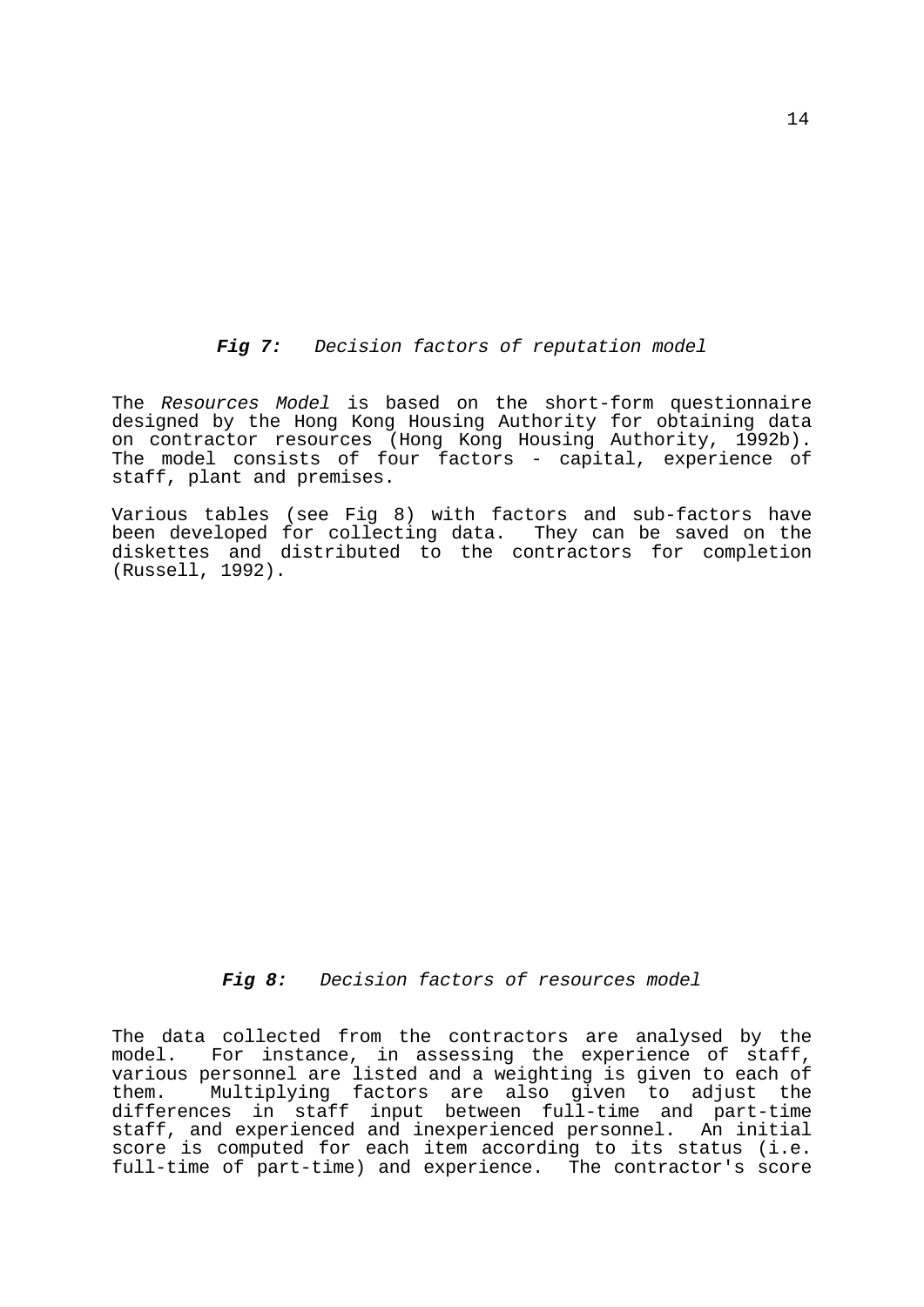*Fig 7: Decision factors of reputation model*

The *Resources Model* is based on the short-form questionnaire designed by the Hong Kong Housing Authority for obtaining data on contractor resources (Hong Kong Housing Authority, 1992b). The model consists of four factors - capital, experience of staff, plant and premises.

Various tables (see Fig 8) with factors and sub-factors have been developed for collecting data. They can be saved on the diskettes and distributed to the contractors for completion (Russell, 1992).

# *Fig 8: Decision factors of resources model*

The data collected from the contractors are analysed by the model. For instance, in assessing the experience of staff, various personnel are listed and a weighting is given to each of<br>them. Multiplying factors are also given to adjust the Multiplying factors are also given to adjust the differences in staff input between full-time and part-time staff, and experienced and inexperienced personnel. An initial score is computed for each item according to its status (i.e. full-time of part-time) and experience. The contractor's score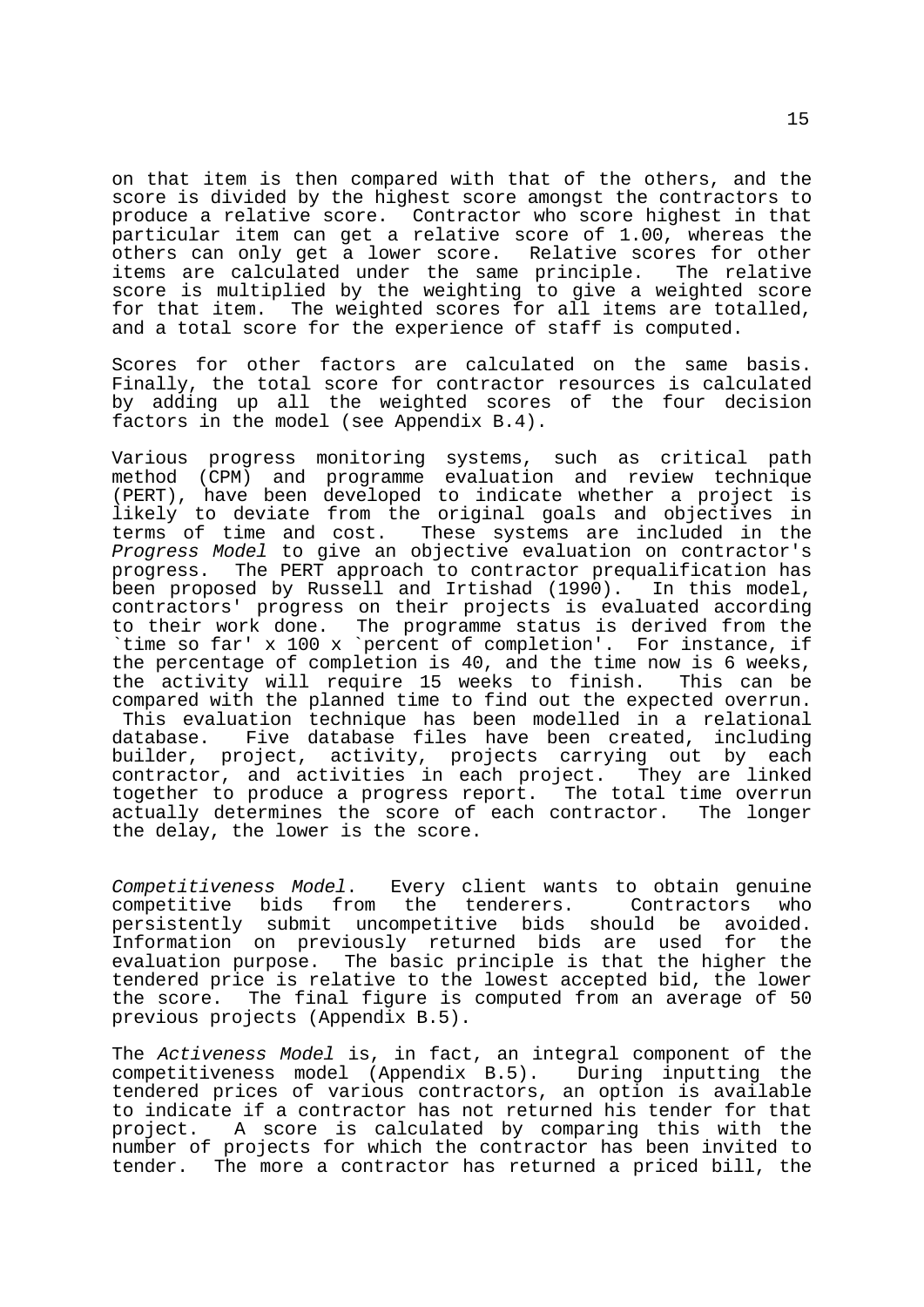on that item is then compared with that of the others, and the score is divided by the highest score amongst the contractors to produce a relative score. Contractor who score highest in that particular item can get a relative score of 1.00, whereas the others can only get a lower score. Relative scores for other items are calculated under the same principle. The relative score is multiplied by the weighting to give a weighted score for that item. The weighted scores for all items are totalled, and a total score for the experience of staff is computed.

Scores for other factors are calculated on the same basis. Finally, the total score for contractor resources is calculated by adding up all the weighted scores of the four decision factors in the model (see Appendix B.4).

Various progress monitoring systems, such as critical path method (CPM) and programme evaluation and review technique (PERT), have been developed to indicate whether a project is likely to deviate from the original goals and objectives in terms of time and cost. These systems are included in the *Progress Model* to give an objective evaluation on contractor's progress. The PERT approach to contractor prequalification has been proposed by Russell and Irtishad (1990). In this model, contractors' progress on their projects is evaluated according to their work done. The programme status is derived from the `time so far' x 100 x `percent of completion'. For instance, if the percentage of completion is 40, and the time now is 6 weeks, the activity will require 15 weeks to finish. This can be compared with the planned time to find out the expected overrun. This evaluation technique has been modelled in a relational database. Five database files have been created, including builder, project, activity, projects carrying out by each contractor, and activities in each project. They are linked together to produce a progress report. The total time overrun actually determines the score of each contractor. The longer the delay, the lower is the score.

*Competitiveness Model*. Every client wants to obtain genuine competitive bids from the tenderers. Contractors who<br>persistently submit uncompetitive bids should be avoided. uncompetitive bids should be avoided.<br>iously returned bids are used for the Information on previously returned bids are used evaluation purpose. The basic principle is that the higher the tendered price is relative to the lowest accepted bid, the lower the score. The final figure is computed from an average of 50 previous projects (Appendix B.5).

The *Activeness Model* is, in fact, an integral component of the competitiveness model (Appendix B.5). During inputting the tendered prices of various contractors, an option is available to indicate if a contractor has not returned his tender for that project. A score is calculated by comparing this with the number of projects for which the contractor has been invited to tender. The more a contractor has returned a priced bill, the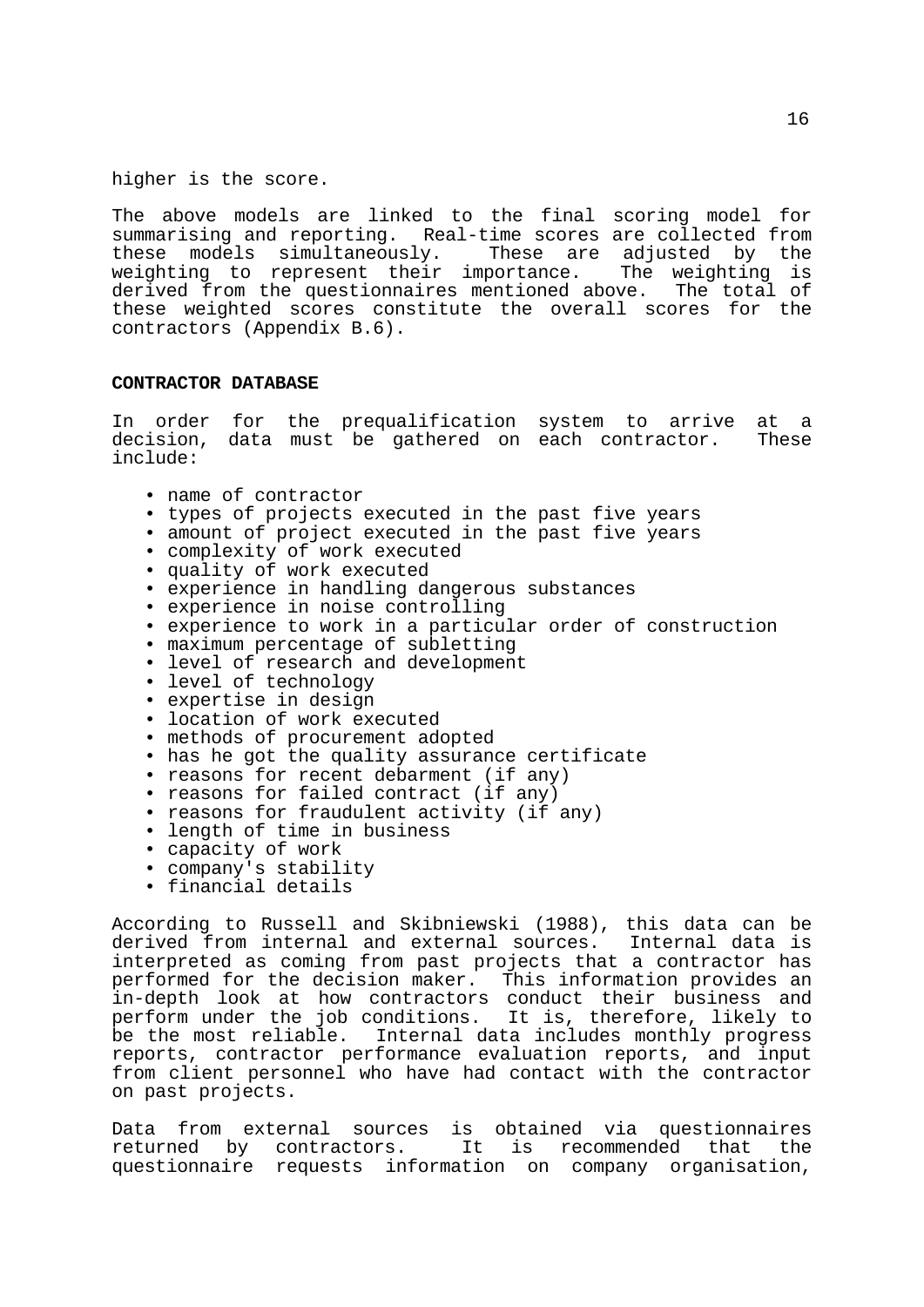higher is the score.

The above models are linked to the final scoring model for summarising and reporting. Real-time scores are collected from<br>these models simultaneously. These are adjusted by the these models simultaneously. weighting to represent their importance. The weighting is derived from the questionnaires mentioned above. The total of these weighted scores constitute the overall scores for the contractors (Appendix B.6).

#### **CONTRACTOR DATABASE**

In order for the prequalification system to arrive at a decision, data must be gathered on each contractor. These include:

- name of contractor
- types of projects executed in the past five years
- amount of project executed in the past five years
- complexity of work executed
- quality of work executed
- experience in handling dangerous substances
- experience in noise controlling
- experience to work in a particular order of construction
- maximum percentage of subletting
- level of research and development
- level of technology
- expertise in design
- location of work executed
- methods of procurement adopted
- has he got the quality assurance certificate
- reasons for recent debarment (if any)
- reasons for failed contract (if any)
- reasons for fraudulent activity (if any)
- length of time in business
- capacity of work
- company's stability
- financial details

According to Russell and Skibniewski (1988), this data can be derived from internal and external sources. Internal data is interpreted as coming from past projects that a contractor has performed for the decision maker. This information provides an in-depth look at how contractors conduct their business and perform under the job conditions. It is, therefore, likely to be the most reliable. Internal data includes monthly progress reports, contractor performance evaluation reports, and input from client personnel who have had contact with the contractor on past projects.

Data from external sources is obtained via questionnaires returned by contractors. It is recommended that the questionnaire requests information on company organisation,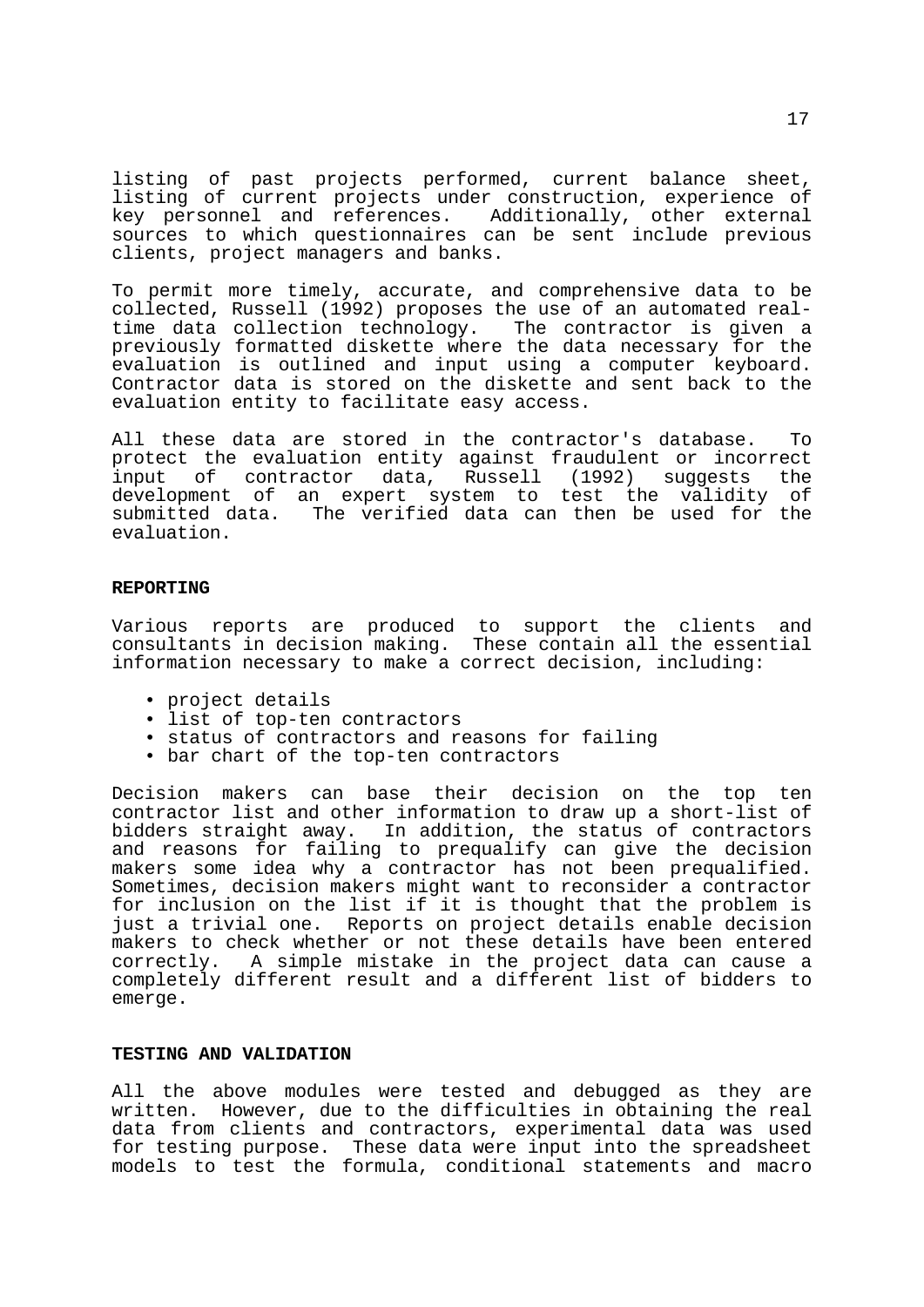listing of past projects performed, current balance sheet, listing of current projects under construction, experience of key personnel and references. Additionally, other external sources to which questionnaires can be sent include previous clients, project managers and banks.

To permit more timely, accurate, and comprehensive data to be collected, Russell (1992) proposes the use of an automated realtime data collection technology. The contractor is given a previously formatted diskette where the data necessary for the evaluation is outlined and input using a computer keyboard. Contractor data is stored on the diskette and sent back to the evaluation entity to facilitate easy access.

All these data are stored in the contractor's database. To protect the evaluation entity against fraudulent or incorrect input of contractor data, Russell (1992) suggests the development of an expert system to test the validity of submitted data. The verified data can then be used for the evaluation.

# **REPORTING**

Various reports are produced to support the clients and consultants in decision making. These contain all the essential information necessary to make a correct decision, including:

- project details
- list of top-ten contractors
- status of contractors and reasons for failing
- bar chart of the top-ten contractors

Decision makers can base their decision on the top ten contractor list and other information to draw up a short-list of bidders straight away. In addition, the status of contractors and reasons for failing to prequalify can give the decision makers some idea why a contractor has not been prequalified. Sometimes, decision makers might want to reconsider a contractor for inclusion on the list if it is thought that the problem is just a trivial one. Reports on project details enable decision makers to check whether or not these details have been entered correctly. A simple mistake in the project data can cause a completely different result and a different list of bidders to emerge.

## **TESTING AND VALIDATION**

All the above modules were tested and debugged as they are written. However, due to the difficulties in obtaining the real data from clients and contractors, experimental data was used for testing purpose. These data were input into the spreadsheet models to test the formula, conditional statements and macro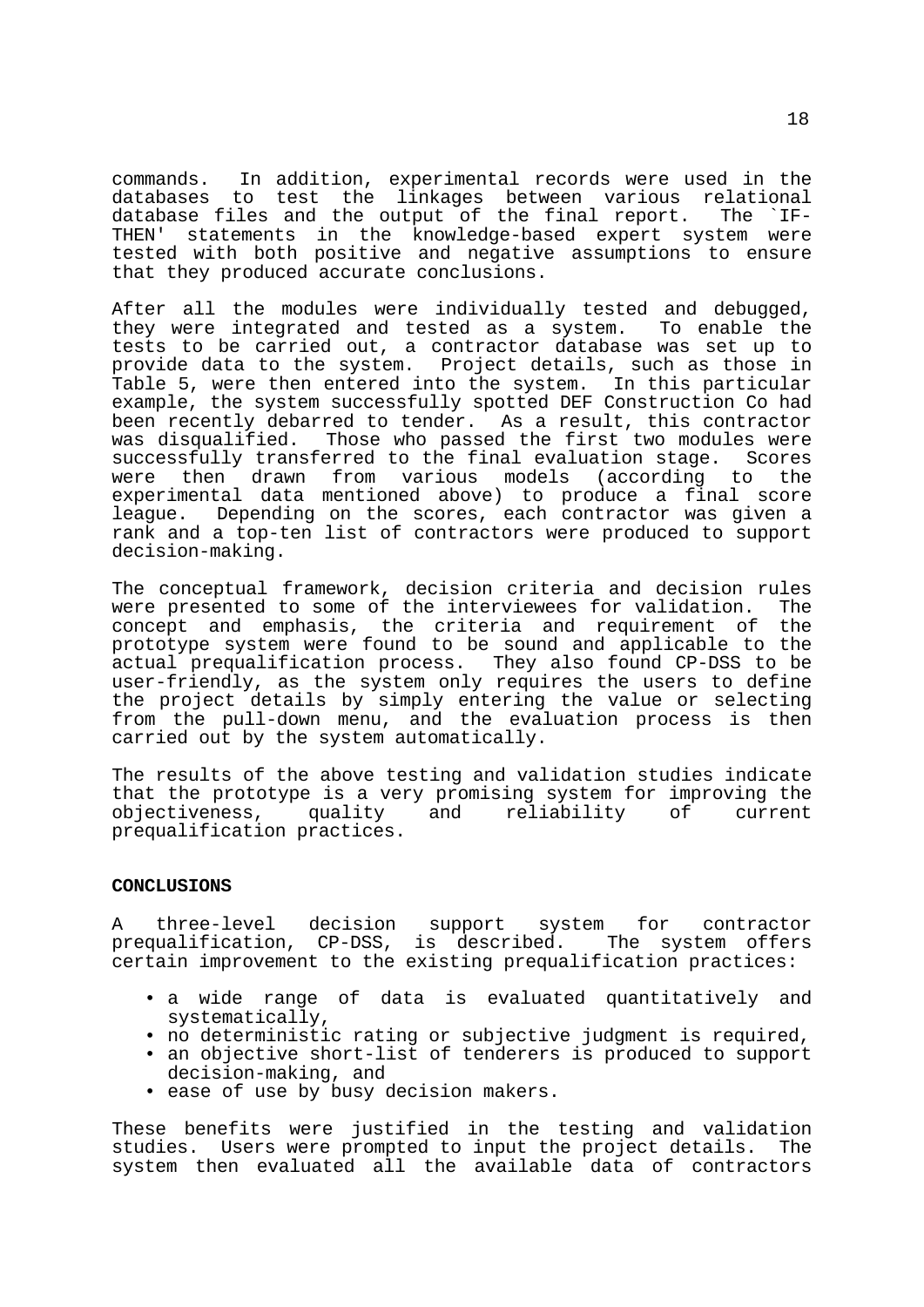commands. In addition, experimental records were used in the databases to test the linkages between various relational<br>database files and the output of the final report. The `IFdatabase files and the output of the final report. THEN' statements in the knowledge-based expert system were tested with both positive and negative assumptions to ensure that they produced accurate conclusions.

After all the modules were individually tested and debugged, they were integrated and tested as a system. To enable the tests to be carried out, a contractor database was set up to provide data to the system. Project details, such as those in Table 5, were then entered into the system. In this particular example, the system successfully spotted DEF Construction Co had been recently debarred to tender. As a result, this contractor<br>was disqualified. Those who passed the first two modules were Those who passed the first two modules were successfully transferred to the final evaluation stage. Scores were then drawn from various models (according to the experimental data mentioned above) to produce a final score league. Depending on the scores, each contractor was given a rank and a top-ten list of contractors were produced to support decision-making.

The conceptual framework, decision criteria and decision rules were presented to some of the interviewees for validation. The concept and emphasis, the criteria and requirement of the prototype system were found to be sound and applicable to the actual prequalification process. They also found CP-DSS to be user-friendly, as the system only requires the users to define the project details by simply entering the value or selecting from the pull-down menu, and the evaluation process is then carried out by the system automatically.

The results of the above testing and validation studies indicate that the prototype is a very promising system for improving the objectiveness, quality and reliability of current prequalification practices.

# **CONCLUSIONS**

A three-level decision support system for contractor prequalification, CP-DSS, is described. The system offers certain improvement to the existing prequalification practices:

- a wide range of data is evaluated quantitatively and systematically,
- no deterministic rating or subjective judgment is required,
- an objective short-list of tenderers is produced to support decision-making, and
- ease of use by busy decision makers.

These benefits were justified in the testing and validation studies. Users were prompted to input the project details. The system then evaluated all the available data of contractors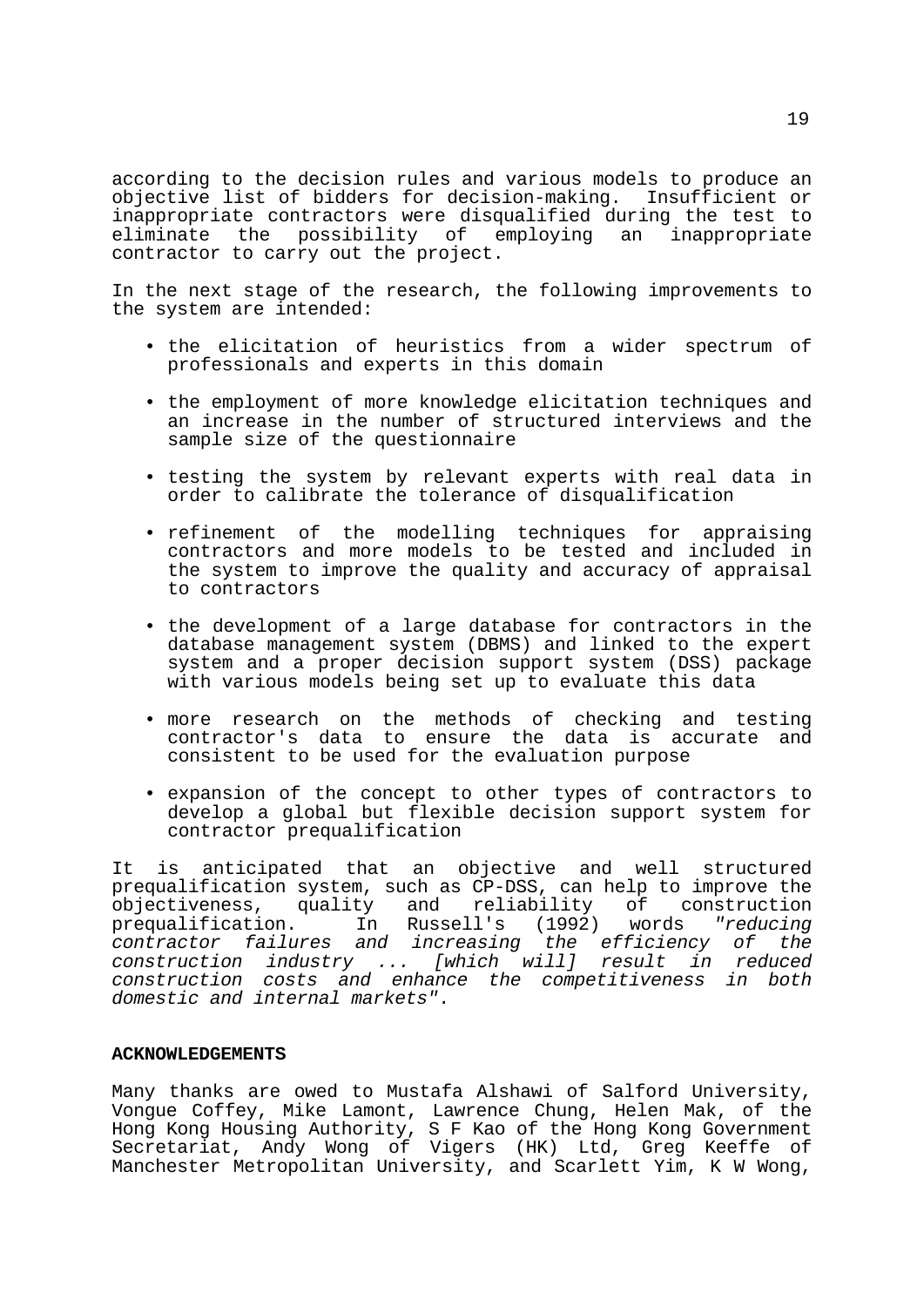according to the decision rules and various models to produce an objective list of bidders for decision-making. Insufficient or inappropriate contractors were disqualified during the test to<br>eliminate the possibility of employing an inappropriate eliminate the possibility of contractor to carry out the project.

In the next stage of the research, the following improvements to the system are intended:

- the elicitation of heuristics from a wider spectrum of professionals and experts in this domain
- the employment of more knowledge elicitation techniques and an increase in the number of structured interviews and the sample size of the questionnaire
- testing the system by relevant experts with real data in order to calibrate the tolerance of disqualification
- refinement of the modelling techniques for appraising contractors and more models to be tested and included in the system to improve the quality and accuracy of appraisal to contractors
- the development of a large database for contractors in the database management system (DBMS) and linked to the expert system and a proper decision support system (DSS) package with various models being set up to evaluate this data
- more research on the methods of checking and testing contractor's data to ensure the data is accurate and consistent to be used for the evaluation purpose
- expansion of the concept to other types of contractors to develop a global but flexible decision support system for contractor prequalification

It is anticipated that an objective and well structured prequalification system, such as CP-DSS, can help to improve the<br>objectiveness, quality and reliability of construction objectiveness, quality and reliability of construction prequalification. In Russell's (1992) words *"reducing contractor failures and increasing the efficiency of the construction industry ... [which will] result in reduced construction costs and enhance the competitiveness in both domestic and internal markets"*.

#### **ACKNOWLEDGEMENTS**

Many thanks are owed to Mustafa Alshawi of Salford University, Vongue Coffey, Mike Lamont, Lawrence Chung, Helen Mak, of the Hong Kong Housing Authority, S F Kao of the Hong Kong Government Secretariat, Andy Wong of Vigers (HK) Ltd, Greg Keeffe of Manchester Metropolitan University, and Scarlett Yim, K W Wong,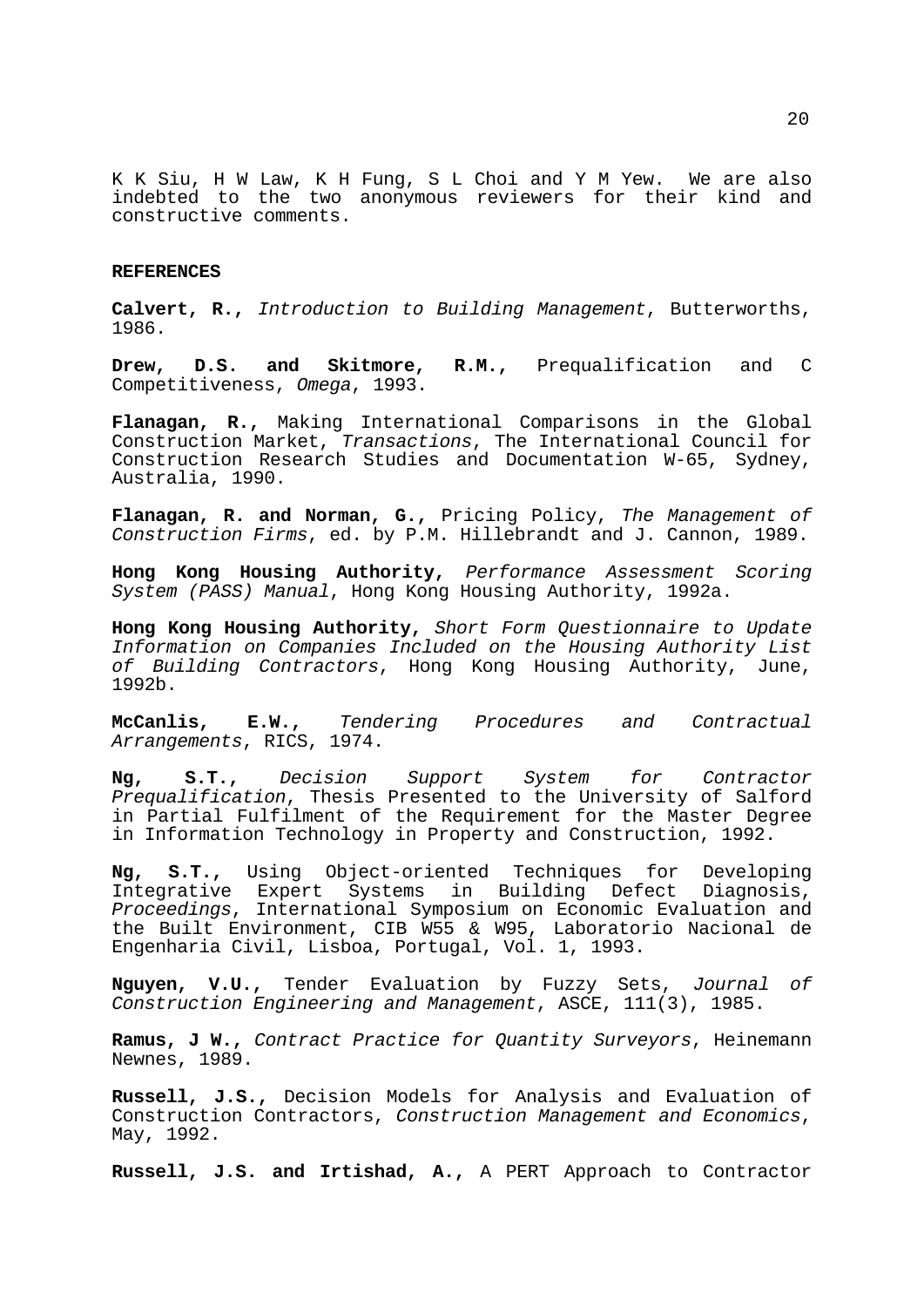K K Siu, H W Law, K H Fung, S L Choi and Y M Yew. We are also indebted to the two anonymous reviewers for their kind and constructive comments.

#### **REFERENCES**

**Calvert, R.,** *Introduction to Building Management*, Butterworths, 1986.

**Drew, D.S. and Skitmore, R.M.,** Prequalification and C Competitiveness, *Omega*, 1993.

**Flanagan, R.,** Making International Comparisons in the Global Construction Market, *Transactions*, The International Council for Construction Research Studies and Documentation W-65, Sydney, Australia, 1990.

**Flanagan, R. and Norman, G.,** Pricing Policy, *The Management of Construction Firms*, ed. by P.M. Hillebrandt and J. Cannon, 1989.

**Hong Kong Housing Authority,** *Performance Assessment Scoring System (PASS) Manual*, Hong Kong Housing Authority, 1992a.

**Hong Kong Housing Authority,** *Short Form Questionnaire to Update Information on Companies Included on the Housing Authority List of Building Contractors*, Hong Kong Housing Authority, June, 1992b.

**McCanlis, E.W.,** *Tendering Procedures and Contractual Arrangements*, RICS, 1974.

**Ng, S.T.,** *Decision Support System for Contractor Prequalification*, Thesis Presented to the University of Salford in Partial Fulfilment of the Requirement for the Master Degree in Information Technology in Property and Construction, 1992.

**Ng, S.T.,** Using Object-oriented Techniques for Developing Integrative Expert Systems in Building Defect Diagnosis, *Proceedings*, International Symposium on Economic Evaluation and the Built Environment, CIB W55 & W95, Laboratorio Nacional de Engenharia Civil, Lisboa, Portugal, Vol. 1, 1993.

**Nguyen, V.U.,** Tender Evaluation by Fuzzy Sets, *Journal of Construction Engineering and Management*, ASCE, 111(3), 1985.

**Ramus, J W.,** *Contract Practice for Quantity Surveyors*, Heinemann Newnes, 1989.

**Russell, J.S.,** Decision Models for Analysis and Evaluation of Construction Contractors, *Construction Management and Economics*, May, 1992.

**Russell, J.S. and Irtishad, A.,** A PERT Approach to Contractor